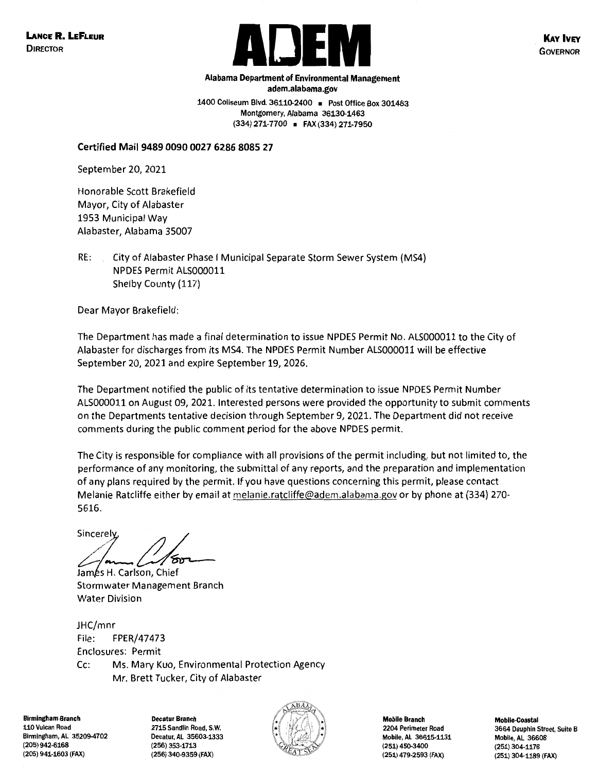

**KAY IVEY GOVERNOR** 

**adem.alabama.gov 1400 Coliseum Blvd. 36110-2400** • **Post Office Box 301463 Montgomery, Alabama 36130-1463 (334) 271-7700** • **FAX (334) 271-7950** 

**Alabama Department of Environmental Management** 

**Certified Mail 9489 0090 0027 6286 8085 27** 

September 20, 2021

Honorable Scott Brakefield Mayor, City of Alabaster 1953 Municipal Way Alabaster, Alabama 35007

RE: City of Alabaster Phase I Municipal Separate Storm Sewer System {MS4) NPDES Permit ALS0000ll Shelby County {117)

Dear Mayor Brakefield:

The Department has made a final determination to issue NPDES Permit No. ALS000011 to the City of Alabaster for discharges from its MS4. The NPDES Permit Number ALS000011 will be effective September 20, 2021 and expire September 19, 2026.

The Department notified the public of its tentative determination to issue NPDES Permit Number ALS0000ll on August 09, 2021. Interested persons were provided the opportunity to submit comments on the Departments tentative decision through September 9, 2021. The Department did not receive comments during the public comment period for the above NPDES permit.

The City is responsible for compliance with all provisions of the permit including, but not limited to, the performance of any monitoring, the submittal of any reports, and the preparation and implementation of any plans required by the permit. If you have questions concerning this permit, please contact Melanie Ratcliffe either by email at melanie.ratcliffe@adem.alabama.gov or by phone at {334) 270- 5616.

Sincerely<br> *Lames* H. Carlson, Chief<br> *Lames* H. Carlson, Chief

James H. Carlson, Chief Stormwater Management Branch Water Division

JHC/mnr File: FPER/47473 Enclosures: Permit Cc: Ms. Mary Kuo, Environmental Protection Agency Mr. Brett Tucker, City of Alabaster

**Birmingham Branch Decatur Branch Mobile Branch Mobile-Coastal**  110 Vulcan Road Birmingham, AL 35209-4702 (205) 942-6168

2715 Sandlin Road, S.W. Decatur, AL 35603-1333 (256) 353-1713



2204 Perimeter Road Mobile, AL 36615-1131 (251) 450-3400 (205) 941-1603 (FAX) (256) 340-9359 (FAX) (251) 479-2593 (FAX) (251) 304-1189 (FAX)

3664 Dauphin Street, Suite **B**  Mobile, AL 36608 (251) 304-1176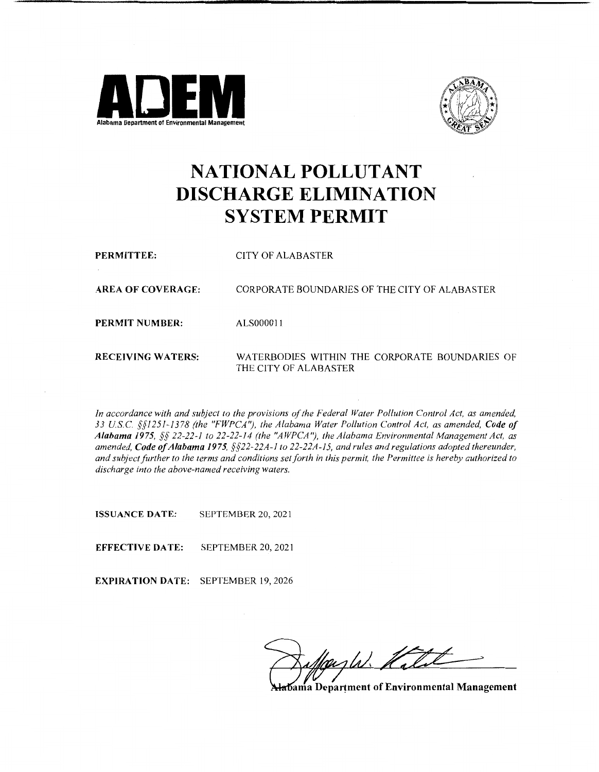



# **NATIONAL POLLUTANT DISCHARGE ELIMINATION SYSTEM PERMIT**

**PERMITTEE: AREA OF COVERAGE: PERMIT NUMBER: RECEIVING WATERS:**  CITY OF ALABASTER CORPORATE BOUNDARIES OF THE CITY OF ALABASTER ALS0000l l WATERBODIES WITHIN THE CORPORATE BOUNDARIES OF THE CITY OF ALABASTER

*In accordance with and subject to the provisions of the Federal Water Pollution Control Act, as amended, 33 USC §§1251-1378 (the "FWPCA"), the Alabama Water Pollution Control Act, as amended, Code of Alabama 1975, §§ 22-22-1 to 22-22-14 (the "AWPCA"), the Alabama Environmental Management Act, as amended, Code of Alabama 1975, §§22-22A-1 to 22-22A-15, and rules and regulations adopted thereunder, and subject further to the terms and conditions set forth in this permit, the Permittee is hereby authorized to discharge into the above-named receiving waters.* 

**ISSUANCE DATE:** SEPTEMBER 20, 2021

**EFFECTIVE DATE:** SEPTEMBER 20, 2021

**EXPIRATION DATE:** SEPTEMBER 19, 2026

ash. 2

**ama Department of Environmental Management**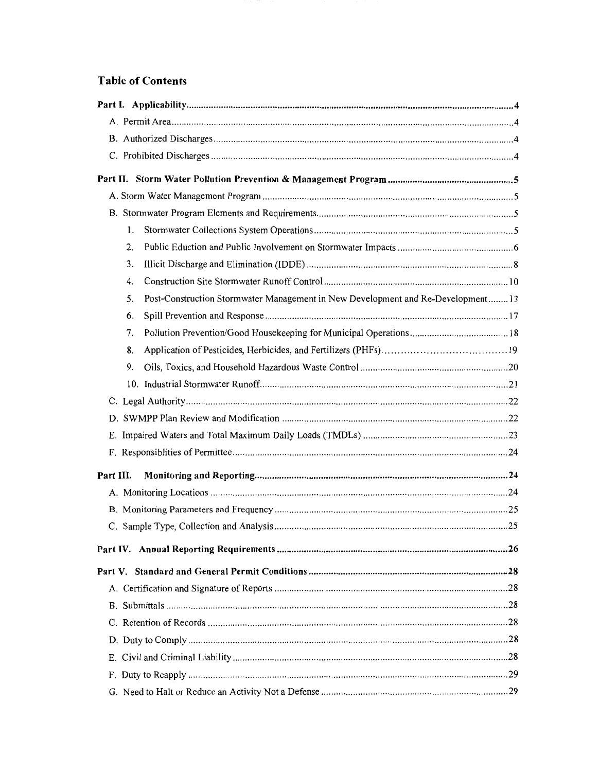### **Table of Contents**

| 1.                                                                                     |  |
|----------------------------------------------------------------------------------------|--|
| 2.                                                                                     |  |
| 3.                                                                                     |  |
| 4.                                                                                     |  |
| Post-Construction Stormwater Management in New Development and Re-Development 13<br>5. |  |
| 6.                                                                                     |  |
| 7.                                                                                     |  |
| 8.                                                                                     |  |
| 9.                                                                                     |  |
|                                                                                        |  |
|                                                                                        |  |
|                                                                                        |  |
|                                                                                        |  |
|                                                                                        |  |
| Part III.                                                                              |  |
|                                                                                        |  |
|                                                                                        |  |
|                                                                                        |  |
|                                                                                        |  |
|                                                                                        |  |
|                                                                                        |  |
|                                                                                        |  |
|                                                                                        |  |
|                                                                                        |  |
|                                                                                        |  |
|                                                                                        |  |
|                                                                                        |  |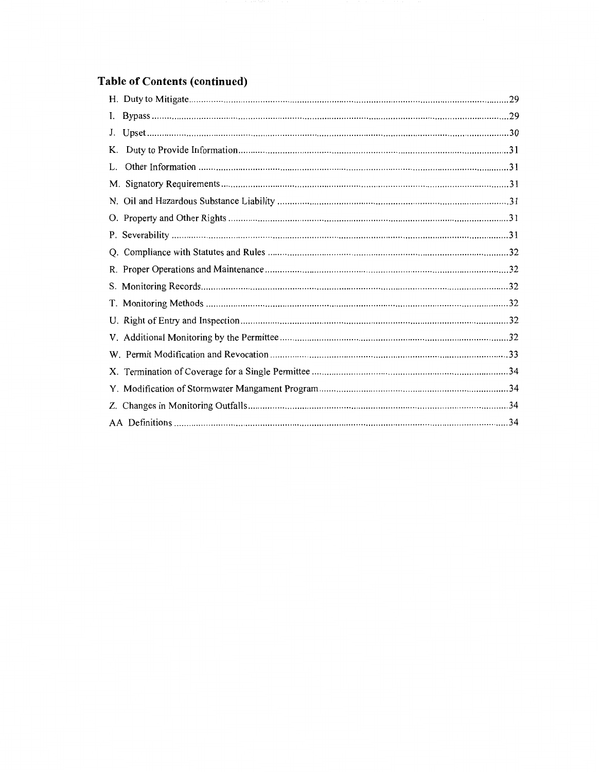## Table of Contents (continued)

| I. |  |
|----|--|
| J. |  |
| K. |  |
| L. |  |
|    |  |
|    |  |
|    |  |
|    |  |
|    |  |
|    |  |
|    |  |
|    |  |
|    |  |
|    |  |
|    |  |
|    |  |
|    |  |
|    |  |
|    |  |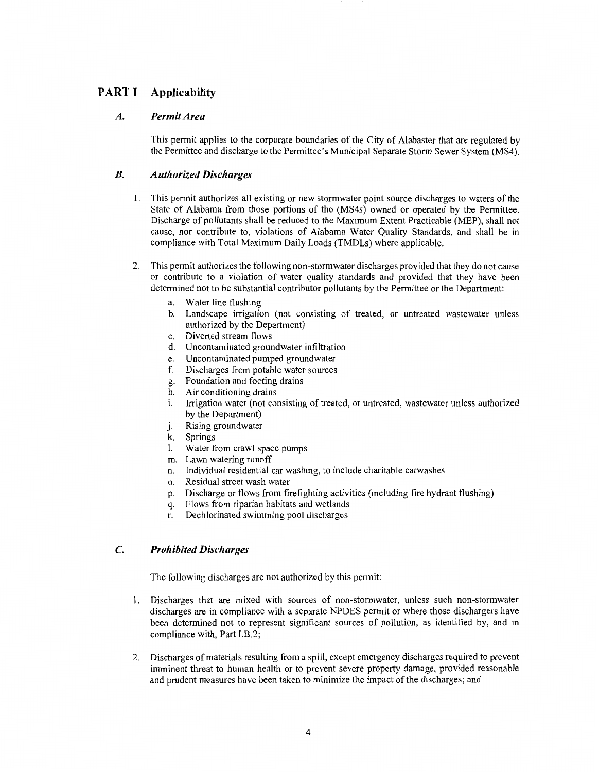### **PART I Applicability**

#### *A. Permit Area*

This permit applies to the corporate boundaries of the City of Alabaster that are regulated by the Permittee and discharge to the Permittee's Municipal Separate Storm Sewer System (MS4).

#### *B. Authorized Discharges*

- **1.** This permit authorizes all existing or new storm water point source discharges to waters of the State of Alabama from those portions of the (MS4s) owned or operated by the Permittee. Discharge of pollutants shall be reduced to the Maximum Extent Practicable (MEP), shall not cause, nor contribute to, violations of Alabama Water Quality Standards, and shall be in compliance with Total Maximum Daily Loads (TMDLs) where applicable.
- 2. This permit authorizes the following non-stormwater discharges provided that they do not cause or contribute to a violation of water quality standards and provided that they have been determined not to be substantial contributor pollutants by the Permittee or the Department:
	- a. Water line flushing
	- b. Landscape irrigation (not consisting of treated, or untreated wastewater unless authorized by the Department)
	- c. Diverted stream flows
	- d. Uncontaminated groundwater infiltration
	- e. Uncontaminated pumped groundwater
	- f. Discharges from potable water sources
	- g. Foundation and footing drains
	- h. Air conditioning drains
	- i. Irrigation water (not consisting of treated, or untreated, wastewater unless authorized by the Department)
	- j. Rising groundwater
	- k. Springs
	- l. Water from crawl space pumps
	- m. Lawn watering runoff
	- n. Individual residential car washing, to include charitable carwashes
	- o. Residual street wash water
	- p. Discharge or flows from firefighting activities (including fire hydrant flushing)
	- q. Flows from riparian habitats and wetlands
	- r. Dechlorinated swimming pool discharges

#### **C.** *Prohibited Discharges*

The following discharges are not authorized by this permit:

- 1. Discharges that are mixed with sources of non-stormwater, unless such non-stormwater discharges are in compliance with a separate NPDES permit or where those dischargers have been determined not to represent significant sources of pollution, as identified by, and in compliance with, Part I.B.2;
- 2. Discharges of materials resulting from a spill, except emergency discharges required to prevent imminent threat to human health or to prevent severe property damage, provided reasonable and prudent measures have been taken to minimize the impact of the discharges; and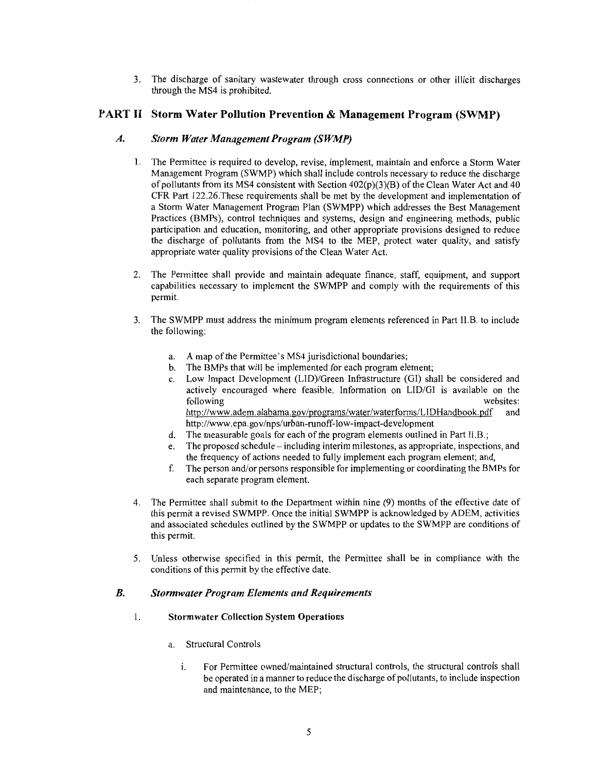3. The discharge of sanitary wastewater through cross connections or other illicit discharges through the MS4 is prohibited.

#### **PART** II **Storm Water Pollution Prevention** & **Management Program (SWMP)**

#### *A. Storm Water Management Program (SWMP)*

- 1. The Permittee is required to develop, revise, implement, maintain and enforce a Storm Water Management Program (SWMP) which shall include controls necessary to reduce the discharge of pollutants from its MS4 consistent with Section  $402(p)(3)(B)$  of the Clean Water Act and 40 CFR Part 122.26.These requirements shall be met by the development and implementation of a Storm Water Management Program Plan (SWMPP) which addresses the Best Management Practices (BMPs), control techniques and systems, design and engineering methods, public participation and education, monitoring, and other appropriate provisions designed to reduce the discharge of pollutants from the MS4 to the MEP, protect water quality, and satisfy appropriate water quality provisions of the Clean Water Act.
- 2. The Permittee shall provide and maintain adequate finance, staff, equipment, and support capabilities necessary to implement the SWMPP and comply with the requirements of this permit.
- 3. The SWMPP must address the minimum program elements referenced in Part H.B. to include the following:
	- a. A map of the Permittee's MS4 jurisdictional boundaries;
	- b. The BMPs that will be implemented for each program element;
	- c. Low Impact Development (LID)/Green Infrastructure (GI) shall be considered and actively encouraged where feasible. Information on LID/GI is available on the following websites: http://www.adem.alabama.gov/programs/water/waterforms/LlDHandbook.pdf and http://www.epa.gov/nps/urban-runoff-low-impact-development
	- d. The measurable goals for each of the program elements outlined in Part 11.B.;
	- e. The proposed schedule including interim milestones, as appropriate, inspections, and the frequency of actions needed to fully implement each program element; and,
	- f. The person and/or persons responsible for implementing or coordinating the BMPs for each separate program element.
- 4. The Permittee shall submit to the Department within nine (9) months of the effective date of this permit a revised SWMPP. Once the initial SWMPP is acknowledged by ADEM, activities and associated schedules outlined by the SWMPP or updates to the SWMPP are conditions of this permit.
- 5. Unless otherwise specified in this permit, the Permittee shall be in compliance with the conditions of this permit by the effective date.

#### *B. Stormwater Program Elements and Requirements*

#### 1. **Stormwater Collection System Operations**

- a. Structural Controls
	- i. For Permittee owned/maintained structural controls, the structural controls shall be operated in a manner to reduce the discharge of pollutants, to include inspection and maintenance, to the MEP;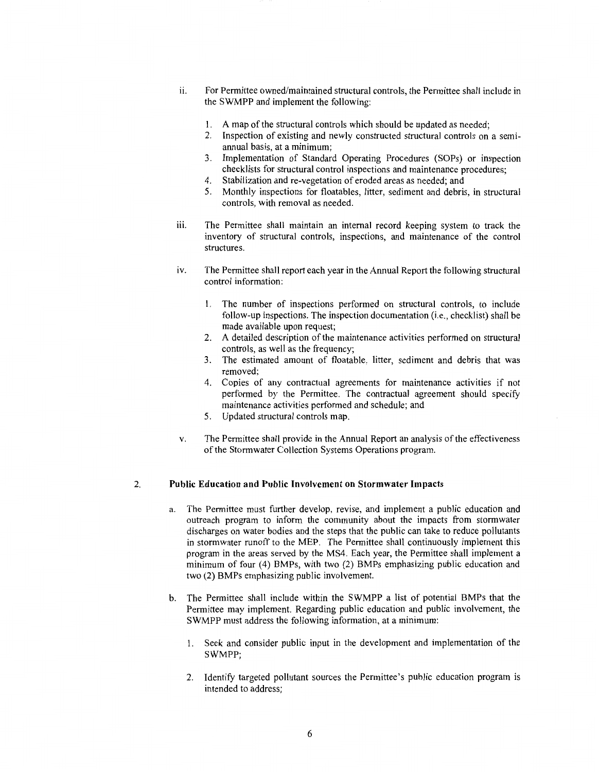- 11. For Permittee owned/maintained structural controls, the Permittee shall include in the SWMPP and implement the following:
	- 1. A map of the structural controls which should be updated as needed;
	- 2. Inspection of existing and newly constructed structural controls on a semiannual basis, at a minimum;
	- 3. Implementation of Standard Operating Procedures (SOPs) or inspection checklists for structural control inspections and maintenance procedures;
	- 4. Stabilization and re-vegetation of eroded areas as needed; and
	- 5. Monthly inspections for floatables, litter, sediment and debris, in structural controls, with removal as needed.
- iii. The Permittee shall maintain an internal record keeping system to track the inventory of structural controls, inspections, and maintenance of the control structures.
- iv. The Permittee shall report each year in the Annual Report the following structural control information:
	- 1. The number of inspections performed on structural controls, to include follow-up inspections. The inspection documentation (i.e., checklist) shall be made available upon request;
	- 2. A detailed description of the maintenance activities performed on structural controls, as well as the frequency;
	- 3. The estimated amount of floatable, litter, sediment and debris that was removed;
	- 4. Copies of any contractual agreements for maintenance activities if not performed by the Permittee. The contractual agreement should specify maintenance activities performed and schedule; and
	- 5. Updated structural controls map.
- v. The Permittee shall provide in the Annual Report an analysis of the effectiveness of the Stormwater Collection Systems Operations program.

#### 2. **Public Education and Public Involvement on Stormwater Impacts**

- a. The Permittee must further develop, revise, and implement a public education and outreach program to inform the community about the impacts from stormwater discharges on water bodies and the steps that the public can take to reduce pollutants in stormwater runoff to the MEP. The Permittee shall continuously implement this program in the areas served by the MS4. Each year, the Permittee shall implement a minimum of four (4) BMPs, with two (2) BMPs emphasizing public education and two (2) BMPs emphasizing public involvement.
- b. The Permittee shall include within the SWMPP a list of potential BMPs that the Permittee may implement. Regarding public education and public involvement, the SWMPP must address the following information, at a minimum:
	- 1. Seek and consider public input in the development and implementation of the SWMPP;
	- 2. Identify targeted pollutant sources the Permittee's public education program is intended to address;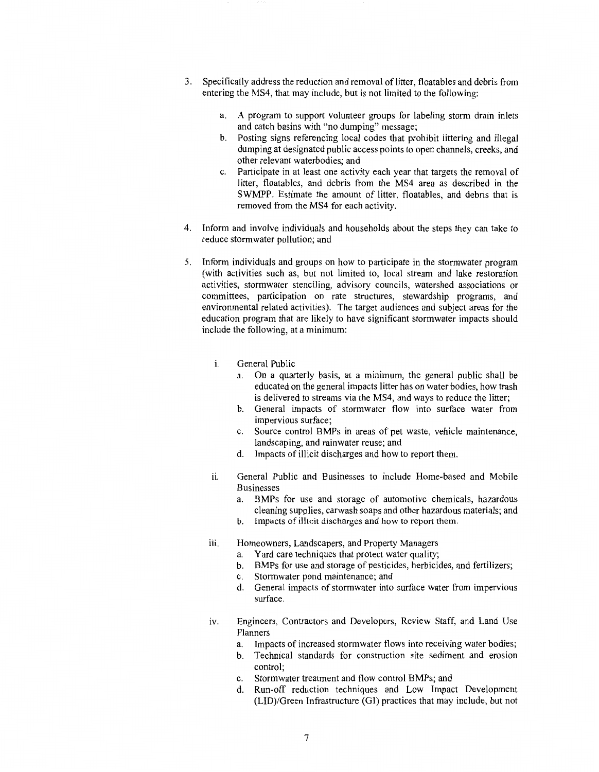- 3. Specifically address the reduction and removal of litter, floatables and debris from entering the MS4, that may include, but is not limited to the following:
	- a. A program to support volunteer groups for labeling storm drain inlets and catch basins with "no dumping" message;
	- b. Posting signs referencing local codes that prohibit littering and illegal dumping at designated public access points to open channels, creeks, and other relevant waterbodies; and
	- c. Participate in at least one activity each year that targets the removal of litter, floatables, and debris from the MS4 area as described in the SWMPP. Estimate the amount of litter, floatables, and debris that is removed from the MS4 for each activity.
- 4. Inform and involve individuals and households about the steps they can take to reduce stormwater pollution; and
- 5. Inform individuals and groups on how to participate in the storm water program (with activities such as, but not limited to, local stream and lake restoration activities, stormwater stenciling, advisory councils, watershed associations or committees, participation on rate structures, stewardship programs, and environmental related activities). The target audiences and subject areas for the education program that are likely to have significant stormwater impacts should include the following, at a minimum:
	- i. General Public
		- a. On a quarterly basis, at a minimum, the general public shall be educated on the general impacts litter has on water bodies, how trash is delivered to streams via the MS4, and ways to reduce the litter;
		- b. General impacts of stormwater flow into surface water from impervious surface;
		- c. Source control BMPs in areas of pet waste, vehicle maintenance, landscaping, and rainwater reuse; and
		- d. Impacts of illicit discharges and how to report them.
	- ii. General Public and Businesses to include Home-based and Mobile Businesses
		- a. BMPs for use and storage of automotive chemicals, hazardous cleaning supplies, carwash soaps and other hazardous materials; and
		- b. Impacts of illicit discharges and how to report them.
	- iii. Homeowners, Landscapers, and Property Managers
		- a. Yard care techniques that protect water quality;
		- b. BMPs for use and storage of pesticides, herbicides, and fertilizers;
		- c. Stormwater pond maintenance; and
		- d. General impacts of stormwater into surface water from impervious surface.
	- iv. Engineers, Contractors and Developers, Review Staff, and Land Use Planners
		- a. Impacts of increased stormwater flows into receiving water bodies;
		- b. Technical standards for construction site sediment and erosion control;
		- c. Stormwater treatment and flow control BMPs; and
		- d. Run-off reduction techniques and Low Impact Development (LID)/Green Infrastructure (GI) practices that may include, but not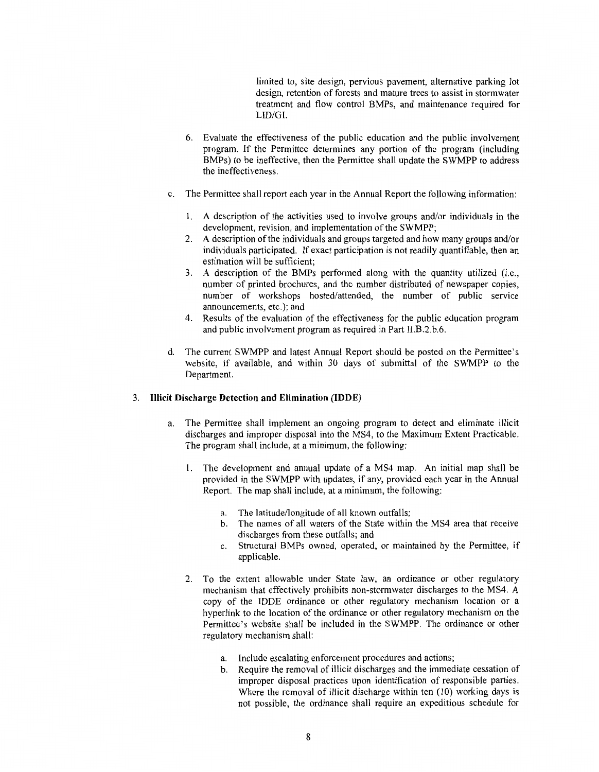limited to, site design, pervious pavement, alternative parking lot design, retention of forests and mature trees to assist in stormwater treatment and flow control BMPs, and maintenance required for LID/GI.

- 6. Evaluate the effectiveness of the public education and the public involvement program. If the Permittee determines any portion of the program (including BMPs) to be ineffective, then the Permittee shall update the SWMPP to address the ineffectiveness.
- c. The Permittee shall report each year in the Annual Report the following information:
	- 1. A description of the activities used to involve groups and/or individuals in the development, revision, and implementation of the SWMPP;
	- 2. A description of the individuals and groups targeted and how many groups and/or individuals participated. If exact participation is not readily quantifiable, then an estimation will be sufficient;
	- 3. A description of the BMPs performed along with the quantity utilized (i.e., number of printed brochures, and the number distributed of newspaper copies, number of workshops hosted/attended, the number of public service announcements, etc.); and
	- 4. Results of the evaluation of the effectiveness for the public education program and public involvement program as required in Part II.B.2.b.6.
- d. The current SWMPP and latest Annual Report should be posted on the Permittee's website, if available, and within 30 days of submittal of the SWMPP to the Department.

#### 3. **Illicit Discharge Detection and Elimination (IDDE)**

- a. The Permittee shall implement an ongoing program to detect and eliminate illicit discharges and improper disposal into the MS4, to the Maximum Extent Practicable. The program shall include, at a minimum, the following:
	- 1. The development and annual update of a MS4 map. An initial map shall be provided in the SWMPP with updates, if any, provided each year in the Annual Report. The map shall include, at a minimum, the following:
		- a. The latitude/longitude of all known outfalls;
		- b. The names of all waters of the State within the MS4 area that receive discharges from these outfalls; and
		- c. Structural BMPs owned, operated, or maintained by the Permittee, if applicable.
	- 2. To the extent allowable under State law, an ordinance or other regulatory mechanism that effectively prohibits non-stormwater discharges to the MS4. A copy of the IDDE ordinance or other regulatory mechanism location or a hyperlink to the location of the ordinance or other regulatory mechanism on the Permittee's website shall be included in the SWMPP. The ordinance or other regulatory mechanism shall:
		- a. Include escalating enforcement procedures and actions;
		- b. Require the removal of illicit discharges and the immediate cessation of improper disposal practices upon identification of responsible parties. Where the removal of illicit discharge within ten (10) working days is not possible, the ordinance shall require an expeditious schedule for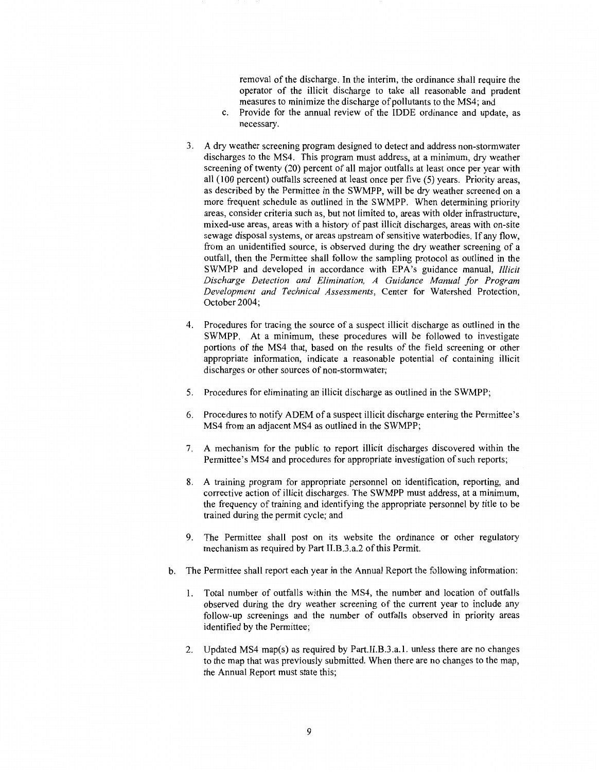removal of the discharge. In the interim, the ordinance shall require the operator of the illicit discharge to take all reasonable and prudent measures to minimize the discharge of pollutants to the MS4; and

- c. Provide for the annual review of the IDDE ordinance and update, as necessary.
- 3. A dry weather screening program designed to detect and address non-storm water discharges to the MS4. This program must address, at a minimum, dry weather screening of twenty (20) percent of all major outfalls at least once per year with all (100 percent) outfalls screened at least once per five (5) years. Priority areas, as described by the Permittee in the SWMPP, will be dry weather screened on a more frequent schedule as outlined in the SWMPP. When determining priority areas, consider criteria such as, but not limited to, areas with older infrastructure, mixed-use areas, areas with a history of past illicit discharges, areas with on-site sewage disposal systems, or areas upstream of sensitive waterbodies. If any flow, from an unidentified source, is observed during the dry weather screening of a outfall, then the Permittee shall follow the sampling protocol as outlined in the SWMPP and developed in accordance with EPA's guidance manual, *Illicit Discharge Detection and Elimination, A Guidance Manual for Program Development and Technical Assessments,* Center for Watershed Protection, October 2004;
- 4. Procedures for tracing the source of a suspect illicit discharge as outlined in the SWMPP. At a minimum, these procedures will be followed to investigate portions of the MS4 that, based on the results of the field screening or other appropriate information, indicate a reasonable potential of containing illicit discharges or other sources of non-storm water;
- 5. Procedures for eliminating an illicit discharge as outlined in the SWMPP;
- 6. Procedures to notify ADEM of a suspect illicit discharge entering the Permittee 's MS4 from an adjacent MS4 as outlined in the SWMPP;
- 7. A mechanism for the public to report illicit discharges discovered within the Permittee's MS4 and procedures for appropriate investigation of such reports;
- 8. A training program for appropriate personnel on identification, reporting, and corrective action of illicit discharges. The SWMPP must address, at a minimum, the frequency of training and identifying the appropriate personnel by title to be trained during the permit cycle; and
- 9. The Permittee shall post on its website the ordinance or other regulatory mechanism as required by Part II.B.3.a.2 of this Permit.
- b. The Permittee shall report each year in the Annual Report the following information:
	- 1. Total number of outfalls within the MS4, the number and location of outfalls observed during the dry weather screening of the current year to include any follow-up screenings and the number of outfalls observed in priority areas identified by the Permittee;
	- 2. Updated MS4 map(s) as required by Part.II.B.3.a. l. unless there are no changes to the map that was previously submitted. When there are no changes to the map, the Annual Report must state this;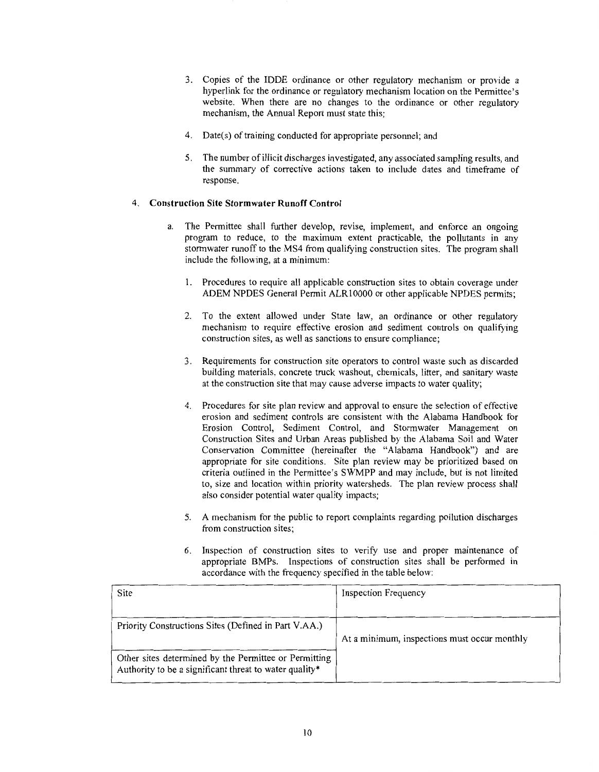- 3. Copies of the IDDE ordinance or other regulatory mechanism or provide a hyperlink for the ordinance or regulatory mechanism location on the Permittee's website. When there are no changes to the ordinance or other regulatory mechanism, the Annual Report must state this;
- 4. Date(s) of training conducted for appropriate personnel; and
- 5. The number of illicit discharges investigated, any associated sampling results, and the summary of corrective actions taken to include dates and timeframe of response.

#### 4. **Construction Site Stormwater Runoff Control**

- a. The Permittee shall further develop, revise, implement, and enforce an ongoing program to reduce, to the maximum extent practicable, the pollutants in any storm water runoff to the MS4 from qualifying construction sites. The program shall include the following, at a minimum:
	- l. Procedures to require all applicable construction sites to obtain coverage under ADEM NPDES General Permit ALRl0000 or other applicable NPDES permits;
	- 2. To the extent allowed under State law, an ordinance or other regulatory mechanism to require effective erosion and sediment controls on qualifying construction sites, as well as sanctions to ensure compliance;
	- 3. Requirements for construction site operators to control waste such as discarded building materials, concrete truck washout, chemicals, litter, and sanitary waste at the construction site that may cause adverse impacts to water quality;
	- 4. Procedures for site plan review and approval to ensure the selection of effective erosion and sediment controls are consistent with the Alabama Handbook for Erosion Control, Sediment Control, and Stormwater Management on Construction Sites and Urban Areas published by the Alabama Soil and Water Conservation Committee (hereinafter the "Alabama Handbook") and are appropriate for site conditions. Site plan review may be prioritized based on criteria outlined in the Permittee's SWMPP and may include, but is not limited to, size and location within priority watersheds. The plan review process shall also consider potential water quality impacts;
	- 5. A mechanism for the public to report complaints regarding pollution discharges from construction sites;
	- 6. Inspection of construction sites to verify use and proper maintenance of appropriate BMPs. Inspections of construction sites shall be performed in accordance with the frequency specified in the table below:

| Site                                                                                                            | <b>Inspection Frequency</b>                  |
|-----------------------------------------------------------------------------------------------------------------|----------------------------------------------|
|                                                                                                                 |                                              |
| Priority Constructions Sites (Defined in Part V.AA.)                                                            |                                              |
|                                                                                                                 | At a minimum, inspections must occur monthly |
| Other sites determined by the Permittee or Permitting<br>Authority to be a significant threat to water quality* |                                              |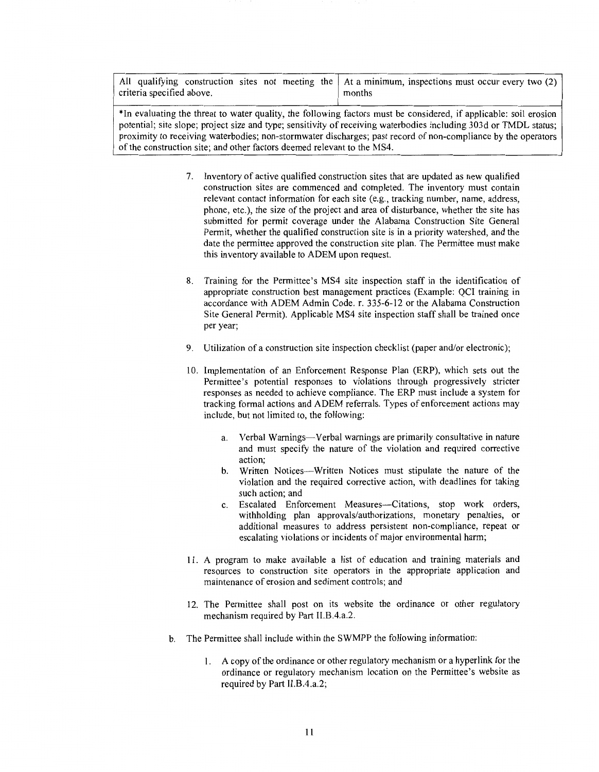All qualifying construction sites not meeting the  $\vert$  At a minimum, inspections must occur every two (2) criteria specified above.

\*In evaluating the threat to water quality, the following factors must be considered, if applicable: soil erosion potential; site slope; project size and type; sensitivity of receiving waterbodies including 303d or TMDL status; proximity to receiving waterbodies; non-storm water discharges; past record of non-compliance by the operators of the construction site; and other factors deemed relevant to the MS4.

- 7. Inventory of active qualified construction sites that are updated as new qualified construction sites are commenced and completed. The inventory must contain relevant contact information for each site (e.g., tracking number, name, address, phone, etc.), the size of the project and area of disturbance, whether the site has submitted for permit coverage under the Alabama Construction Site General Permit, whether the qualified construction site is in a priority watershed, and the date the permittee approved the construction site plan. The Permittee must make this inventory available to ADEM upon request.
- 8. Training for the Permittee's MS4 site inspection staff in the identification of appropriate construction best management practices (Example: QCI training in accordance with ADEM Admin Code. r. 335-6-12 or the Alabama Construction Site General Permit). Applicable MS4 site inspection staff shall be trained once per year;
- 9. Utilization of a construction site inspection checklist (paper and/or electronic);
- 10. Implementation of an Enforcement Response Plan (ERP), which sets out the Permittee's potential responses to violations through progressively stricter responses as needed to achieve compliance. The ERP must include a system for tracking formal actions and ADEM referrals. Types of enforcement actions may include, but not limited to, the following:
	- a. Verbal Warnings—Verbal warnings are primarily consultative in nature and must specify the nature of the violation and required corrective action;
	- b. Written Notices-Written Notices must stipulate the nature of the violation and the required corrective action, with deadlines for taking such action; and
	- c. Escalated Enforcement Measures-Citations, stop work orders, withholding plan approvals/authorizations, monetary penalties, or additional measures to address persistent non-compliance, repeat or escalating violations or incidents of major environmental harm;
- 11. A program to make available a list of education and training materials and resources to construction site operators in the appropriate application and maintenance of erosion and sediment controls; and
- 12. The Permittee shall post on its website the ordinance or other regulatory mechanism required by Part Il.B.4.a.2.
- b. The Permittee shall include within the SWMPP the following information:
	- 1. A copy of the ordinance or other regulatory mechanism or a hyperlink for the ordinance or regulatory mechanism location on the Permittee's website as required by Part 11.B.4.a.2;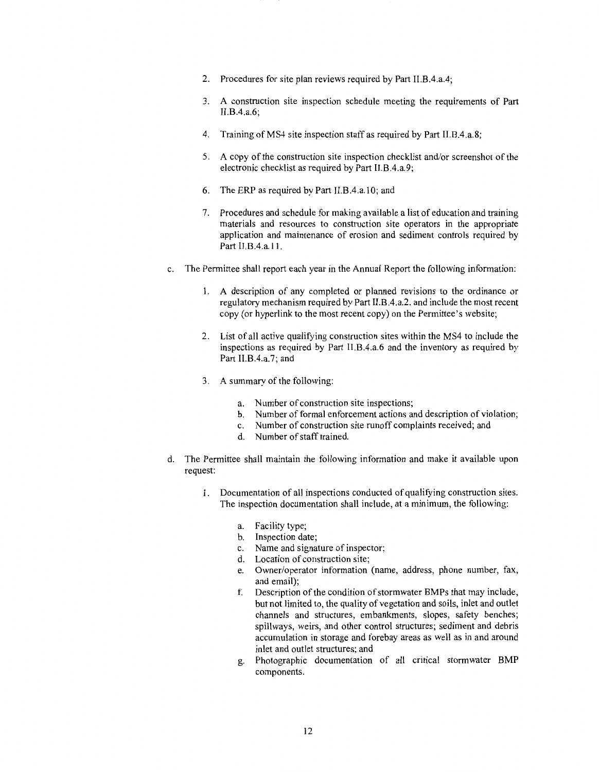- 2. Procedures for site plan reviews required by Part II.B.4.a.4;
- 3. A construction site inspection schedule meeting the requirements of Part II.B.4.a.6;
- 4. Training ofMS4 site inspection staff as required by Part II.B.4.a.8;
- 5. A copy of the construction site inspection checklist and/or screenshot of the electronic checklist as required by Part 11.B.4.a.9;
- 6. The ERP as required by Part ll.B.4.a.10; and
- 7. Procedures and schedule for making available a list of education and training materials and resources to construction site operators in the appropriate application and maintenance of erosion and sediment controls required by Part II.B.4.a.11.
- c. The Permittee shall report each year in the Annual Report the following information:
	- 1. A description of any completed or planned revisions to the ordinance or regulatory mechanism required by Part 11.B.4.a.2. and include the most recent copy (or hyperlink to the most recent copy) on the Permittee's website;
	- 2. List of all active qualifying construction sites within the MS4 to include the inspections as required by Part II.B.4.a.6 and the inventory as required by Part II.B.4.a.7; and
	- 3. A summary of the following:
		- a. Number of construction site inspections;
		- b. Number of formal enforcement actions and description of violation;
		- c. Number of construction site runoff complaints received; and
		- d. Number of staff trained.
- d. The Permittee shall maintain the following information and make it available upon request:
	- l. Documentation of all inspections conducted of qualifying construction sites. The inspection documentation shall include, at a minimum, the following:
		- a. Facility type;
		- b. Inspection date;
		- c. Name and signature of inspector;
		- d. Location of construction site;
		- e. Owner/operator information (name, address, phone number, fax, and email);
		- f. Description of the condition of storm water BMPs that may include, but not limited to, the quality of vegetation and soils, inlet and outlet channels and structures, embankments, slopes, safety benches; spillways, weirs, and other control structures; sediment and debris accumulation in storage and forebay areas as well as in and around inlet and outlet structures; and
		- g. Photographic documentation of all critical stormwater BMP components.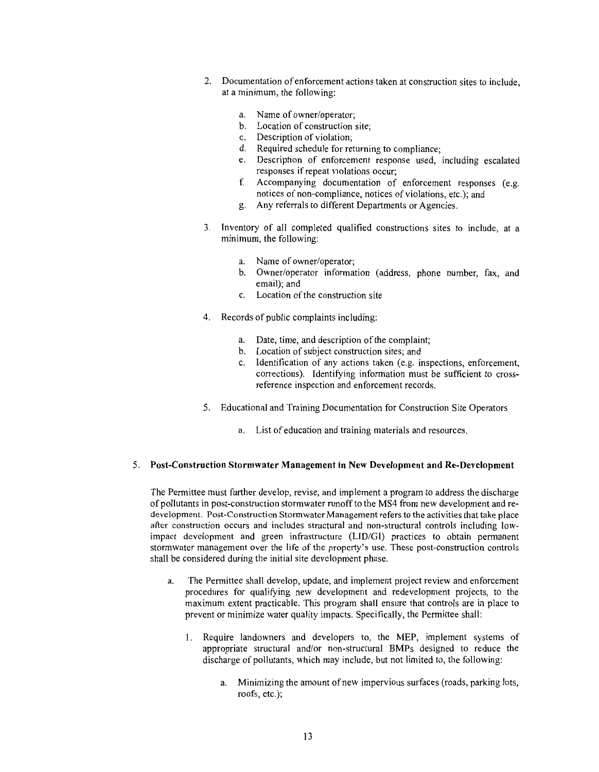- 2. Documentation of enforcement actions taken at construction sites to include, at a minimum, the following:
	- a. Name of owner/operator;
	- b. Location of construction site;
	- c. Description of violation;
	- d. Required schedule for returning to compliance;
	- e. Description of enforcement response used, including escalated responses if repeat violations occur;
	- f. Accompanying documentation of enforcement responses (e.g. notices of non-compliance, notices of violations, etc.); and
	- g. Any referrals to different Departments or Agencies.
- 3. Inventory of all completed qualified constructions sites to include, at a minimum, the following:
	- a. Name of owner/operator;
	- b. Owner/operator information (address, phone number, fax, and email); and
	- c. Location of the construction site
- 4. Records of public complaints including:
	- a. Date, time, and description of the complaint;
	- b. Location of subject construction sites; and
	- c. Identification of any actions taken (e.g. inspections, enforcement, corrections). Identifying information must be sufficient to crossreference inspection and enforcement records.
- 5. Educational and Training Documentation for Construction Site Operators
	- a. List of education and training materials and resources.

#### 5. **Post-Construction Stormwater Management in New Development and Re-Development**

The Permittee must further develop, revise, and implement a program to address the discharge of pollutants in post-construction stormwater runoff to the MS4 from new development and redevelopment. Post-Construction Stormwater Management refers to the activities that take place after construction occurs and includes structural and non-structural controls including lowimpact development and green infrastructure (LID/GI) practices to obtain permanent stormwater management over the life of the property's use. These post-construction controls shall be considered during the initial site development phase.

- a. The Permittee shall develop, update, and implement project review and enforcement procedures for qualifying new development and redevelopment projects, to the maximum extent practicable. This program shall ensure that controls are in place to prevent or minimize water quality impacts. Specifically, the Permittee shall:
	- **1.** Require landowners and developers to, the MEP, implement systems of appropriate structural and/or non-structural BMPs designed to reduce the discharge of pollutants, which may include, but not limited to, the following:
		- a. Minimizing the amount of new impervious surfaces (roads, parking lots, roofs, etc.);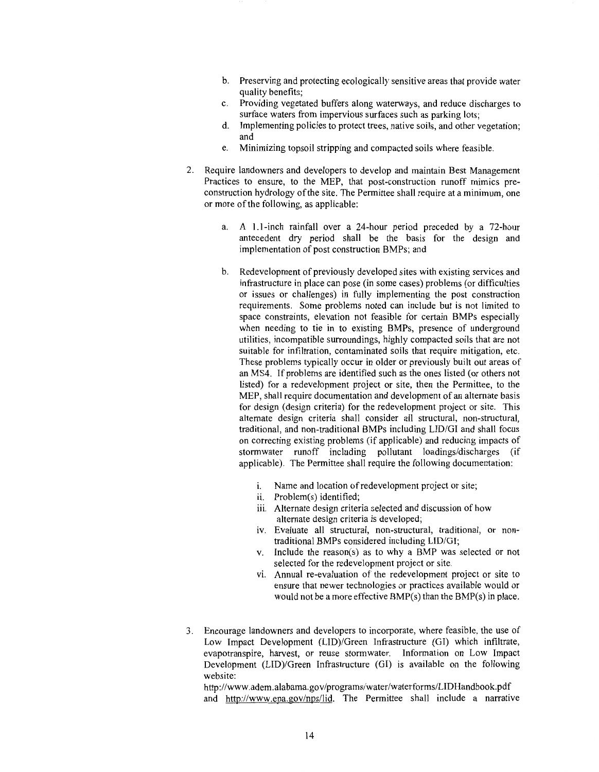- b. Preserving and protecting ecologically sensitive areas that provide water quality benefits;
- c. Providing vegetated buffers along waterways, and reduce discharges to surface waters from impervious surfaces such as parking lots;
- d. Implementing policies to protect trees, native soils, and other vegetation; and
- e. Minimizing topsoil stripping and compacted soils where feasible.
- 2. Require landowners and developers to develop and maintain Best Management Practices to ensure, to the MEP, that post-construction runoff mimics preconstruction hydrology of the site. The Permittee shall require at a minimum, one or more of the following, as applicable:
	- a. A 1.1-inch rainfall over a 24-hour period preceded by a 72-hour antecedent dry period shall be the basis for the design and implementation of post construction BMPs; and
	- b. Redevelopment of previously developed sites with existing services and infrastructure in place can pose (in some cases) problems (or difficulties or issues or challenges) in fully implementing the post construction requirements. Some problems noted can include but is not limited to space constraints, elevation not feasible for certain BMPs especially when needing to tie in to existing BMPs, presence of underground utilities, incompatible surroundings, highly compacted soils that are not suitable for infiltration, contaminated soils that require mitigation, etc. These problems typically occur in older or previously built out areas of an MS4. If problems are identified such as the ones listed ( or others not listed) for a redevelopment project or site, then the Permittee, to the MEP, shall require documentation and development of an alternate basis for design (design criteria) for the redevelopment project or site. This alternate design criteria shall consider all structural, non-structural, traditional, and non-traditional BMPs including LID/GI and shall focus on correcting existing problems (if applicable) and reducing impacts of stormwater runoff including pollutant loadings/discharges (if applicable). The Permittee shall require the following documentation:
		- i. Name and location of redevelopment project or site;
		- ii. Problem(s) identified;
		- iii. Alternate design criteria selected and discussion of how alternate design criteria is developed;
		- iv. Evaluate all structural, non-structural, traditional, or nontraditional BMPs considered including LID/GI;
		- v. Include the reason(s) as to why a BMP was selected or not selected for the redevelopment project or site.
		- vi. Annual re-evaluation of the redevelopment project or site to ensure that newer technologies or practices available would or would not be a more effective BMP(s) than the BMP(s) in place.
- 3. Encourage landowners and developers to incorporate, where feasible, the use of Low Impact Development (LID)/Green Infrastructure (GI) which infiltrate, evapotranspire, harvest, or reuse stormwater. Information on Low Impact Development (LID)/Green Infrastructure (GI) is available on the following website:

http://www.adem.alabama.gov/programs/water/waterforms/LIDHandbook.pdf and http://www.epa.gov/nps/lid. The Permittee shall include a narrative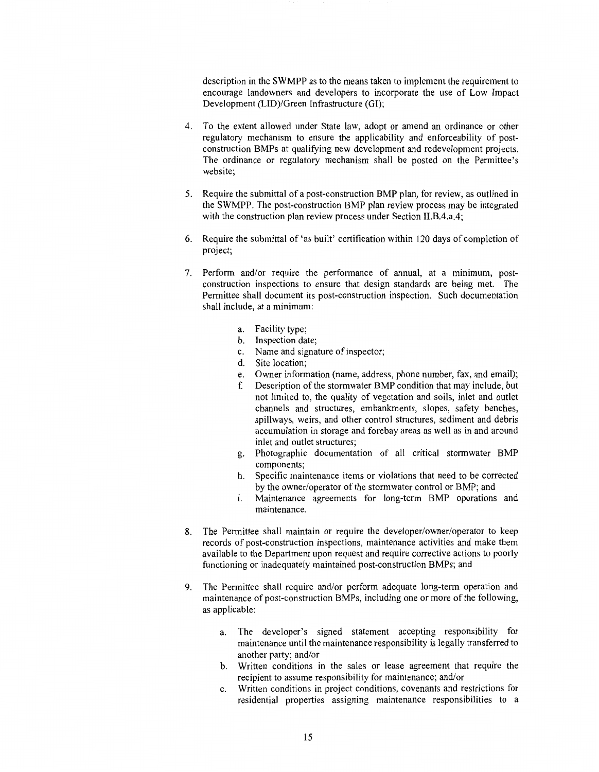description in the SWMPP as to the means taken to implement the requirement to encourage landowners and developers to incorporate the use of Low Impact Development (LID)/Green Infrastructure (GI);

- 4. To the extent allowed under State law, adopt or amend an ordinance or other regulatory mechanism to ensure the applicability and enforceability of postconstruction BMPs at qualifying new development and redevelopment projects. The ordinance or regulatory mechanism shall be posted on the Permittee's website;
- 5. Require the submittal of a post-construction BMP plan, for review, as outlined in the SWMPP. The post-construction BMP plan review process may be integrated with the construction plan review process under Section II.B.4.a.4;
- 6. Require the submittal of 'as built' certification within 120 days of completion of project;
- 7. Perform and/or require the performance of annual, at a minimum, postconstruction inspections to ensure that design standards are being met. The Permittee shall document its post-construction inspection. Such documentation shall include, at a minimum:
	- a. Facility type;
	- b. Inspection date;
	- c. Name and signature of inspector;
	- d. Site location;
	- e. Owner information (name, address, phone number, fax, and email);
	- f. Description of the stormwater BMP condition that may include, but not limited to, the quality of vegetation and soils, inlet and outlet channels and structures, embankments, slopes, safety benches, spillways, weirs, and other control structures, sediment and debris accumulation in storage and forebay areas as well as in and around inlet and outlet structures;
	- g. Photographic documentation of all critical stormwater BMP components;
	- h. Specific maintenance items or violations that need to be corrected by the owner/operator of the stormwater control or BMP; and
	- i. Maintenance agreements for long-term BMP operations and maintenance.
- 8. The Permittee shall maintain or require the developer/owner/operator to keep records of post-construction inspections, maintenance activities and make them available to the Department upon request and require corrective actions to poorly functioning or inadequately maintained post-construction BMPs; and
- 9. The Permittee shall require and/or perform adequate long-term operation and maintenance of post-construction BMPs, including one or more of the following, as applicable:
	- a. The developer's signed statement accepting responsibility for maintenance until the maintenance responsibility is legally transferred to another party; and/or
	- b. Written conditions in the sales or lease agreement that require the recipient to assume responsibility for maintenance; and/or
	- c. Written conditions in project conditions, covenants and restrictions for residential properties assigning maintenance responsibilities to a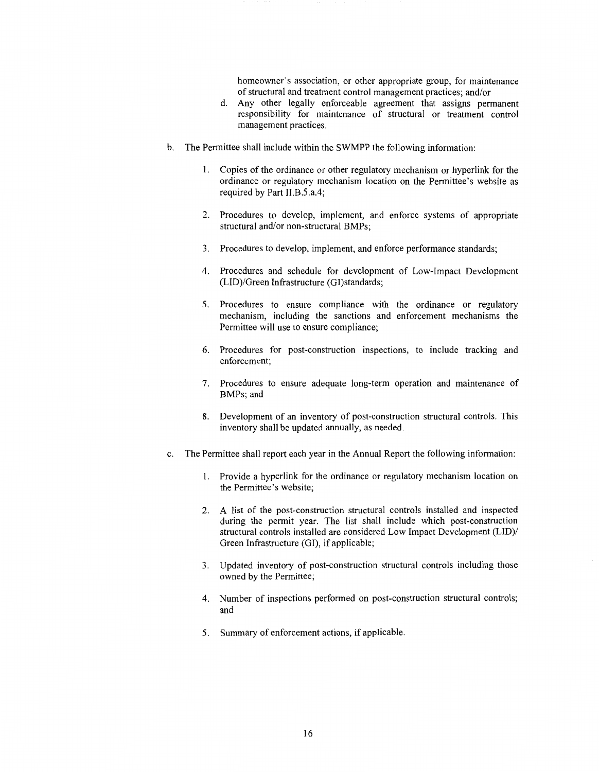homeowner's association, or other appropriate group, for maintenance of structural and treatment control management practices; and/or

- d. Any other legally enforceable agreement that assigns permanent responsibility for maintenance of structural or treatment control management practices.
- b. The Permittee shall include within the SWMPP the following information:
	- 1. Copies of the ordinance or other regulatory mechanism or hyperlink for the ordinance or regulatory mechanism location on the Permittee's website as required by Part II.B.5.a.4;
	- 2. Procedures to develop, implement, and enforce systems of appropriate structural and/or non-structural BMPs;
	- 3. Procedures to develop, implement, and enforce performance standards;
	- 4. Procedures and schedule for development of Low-Impact Development (LID)/Green Infrastructure (GI)standards;
	- 5. Procedures to ensure compliance with the ordinance or regulatory mechanism, including the sanctions and enforcement mechanisms the Permittee will use to ensure compliance;
	- 6. Procedures for post-construction inspections, to include tracking and enforcement;
	- 7. Procedures to ensure adequate long-term operation and maintenance of BMPs; and
	- 8. Development of an inventory of post-construction structural controls. This inventory shall be updated annually, as needed.
- c. The Permittee shall report each year in the Annual Report the following information:
	- 1. Provide a hyperlink for the ordinance or regulatory mechanism location on the Permittee's website;
	- 2. A list of the post-construction structural controls installed and inspected during the permit year. The list shall include which post-construction structural controls installed are considered Low Impact Development (LID)/ Green Infrastructure (GI), if applicable;
	- 3. Updated inventory of post-construction structural controls including those owned by the Permittee;
	- 4. Number of inspections performed on post-construction structural controls; and
	- 5. Summary of enforcement actions, if applicable.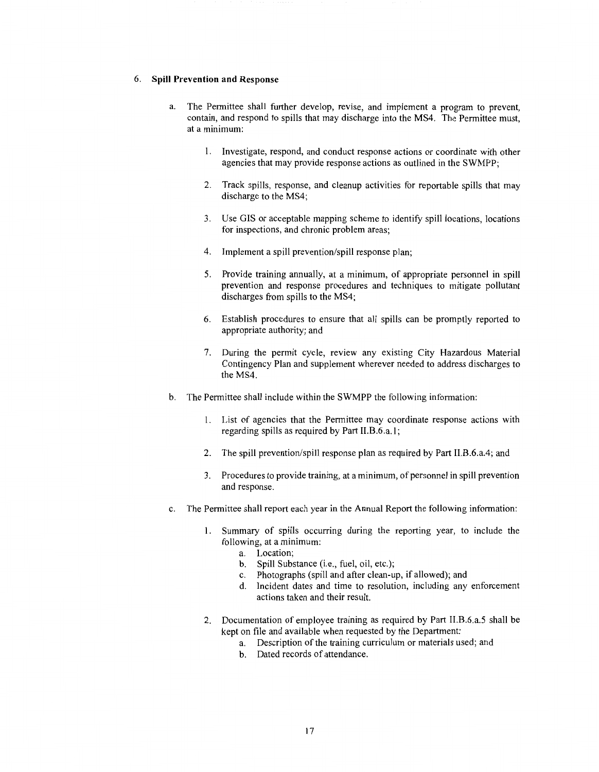#### 6. **Spill Prevention and Response**

- a. The Permittee shall further develop, revise, and implement a program to prevent, contain, and respond to spills that may discharge into the MS4. The Permittee must, at a minimum:
	- 1. Investigate, respond, and conduct response actions or coordinate with other agencies that may provide response actions as outlined in the SWMPP;
	- 2. Track spills, response, and cleanup activities for reportable spills that may discharge to the MS4;
	- 3. Use GIS or acceptable mapping scheme to identify spill locations, locations for inspections, and chronic problem areas;
	- 4. Implement a spill prevention/spill response plan;
	- 5. Provide training annually, at a minimum, of appropriate personnel in spill prevention and response procedures and techniques to mitigate pollutant discharges from spills to the MS4;
	- 6. Establish procedures to ensure that all spills can be promptly reported to appropriate authority; and
	- 7. During the permit cycle, review any existing City Hazardous Material Contingency Plan and supplement wherever needed to address discharges to the MS4.
- b. The Permittee shall include within the SWMPP the following information:
	- 1. List of agencies that the Permittee may coordinate response actions with regarding spills as required by Part 11.B.6.a. **l;**
	- 2. The spill prevention/spill response plan as required by Part II.B.6.a.4; and
	- 3. Procedures to provide training, at a minimum, of personnel in spill prevention and response.
- c. The Permittee shall report each year in the Annual Report the following information:
	- 1. Summary of spills occurring during the reporting year, to include the following, at a minimum:
		- a. Location;
		- b. Spill Substance (i.e., fuel, oil, etc.);
		- c. Photographs (spill and after clean-up, if allowed); and
		- d. Incident dates and time to resolution, including any enforcement actions taken and their result.
	- 2. Documentation of employee training as required by Part II.B.6.a.5 shall be kept on file and available when requested by the Department:
		- a. Description of the training curriculum or materials used; and
		- b. Dated records of attendance.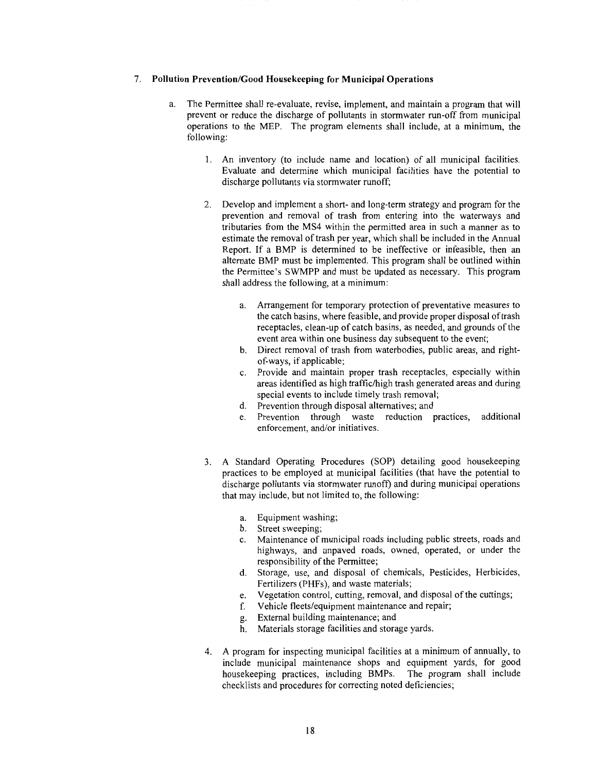#### 7. **Pollution Prevention/Good Housekeeping for Municipal Operations**

- a. The Permittee shall re-evaluate, revise, implement, and maintain a program that will prevent or reduce the discharge of pollutants in stormwater run-off from municipal operations to the MEP. The program elements shall include, at a minimum, the following:
	- 1. An inventory (to include name and location) of all municipal facilities. Evaluate and determine which municipal facilities have the potential to discharge pollutants via stormwater runoff;
	- 2. Develop and implement a short- and long-term strategy and program for the prevention and removal of trash from entering into the waterways and tributaries from the MS4 within the permitted area in such a manner as to estimate the removal of trash per year, which shall be included in the Annual Report. If a BMP is determined to be ineffective or infeasible, then an alternate BMP must be implemented. This program shall be outlined within the Permittee's SWMPP and must be updated as necessary. This program shall address the following, at a minimum:
		- a. Arrangement for temporary protection of preventative measures to the catch basins, where feasible, and provide proper disposal of trash receptacles, clean-up of catch basins, as needed, and grounds of the event area within one business day subsequent to the event;
		- b. Direct removal of trash from waterbodies, public areas, and rightof-ways, if applicable;
		- c. Provide and maintain proper trash receptacles, especially within areas identified as high traffic/high trash generated areas and during special events to include timely trash removal;
		- d. Prevention through disposal alternatives; and
		- e. Prevention through waste reduction practices, additional enforcement, and/or initiatives.
	- 3. A Standard Operating Procedures (SOP) detailing good housekeeping practices to be employed at municipal facilities (that have the potential to discharge pollutants via stormwater runoff) and during municipal operations that may include, but not limited to, the following:
		- a. Equipment washing;
		- b. Street sweeping;
		- c. Maintenance of municipal roads including public streets, roads and highways, and unpaved roads, owned, operated, or under the responsibility of the Permittee;
		- d. Storage, use, and disposal of chemicals, Pesticides, Herbicides, Fertilizers (PHFs), and waste materials;
		- e. Vegetation control, cutting, removal, and disposal of the cuttings;
		- f. Vehicle fleets/equipment maintenance and repair;
		- g. External building maintenance; and
		- h. Materials storage facilities and storage yards.
	- 4. A program for inspecting municipal facilities at a minimum of annually, to include municipal maintenance shops and equipment yards, for good housekeeping practices, including BMPs. The program shall include checklists and procedures for correcting noted deficiencies;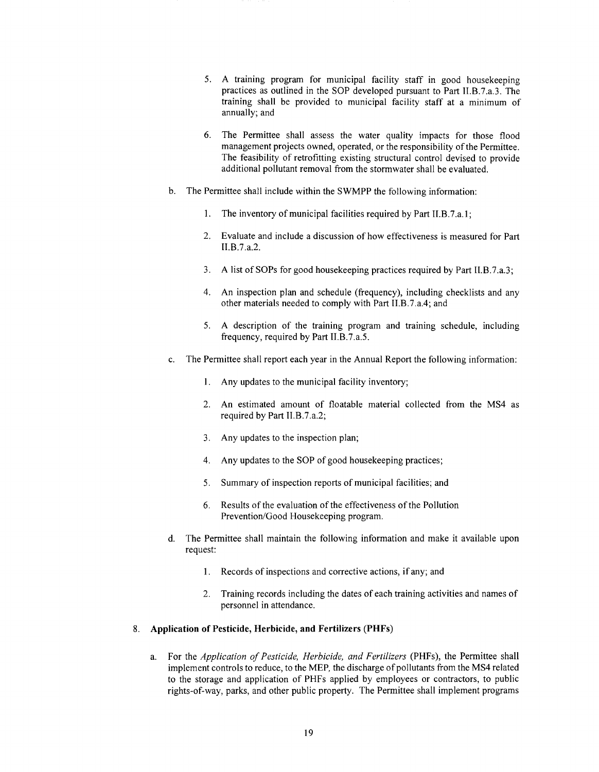- 5. A training program for municipal facility staff in good housekeeping practices as outlined in the SOP developed pursuant to Part II.8.7.a.3. The training shall be provided to municipal facility staff at a minimum of annually; and
- 6. The Permittee shall assess the water quality impacts for those flood management projects owned, operated, or the responsibility of the Permittee. The feasibility of retrofitting existing structural control devised to provide additional pollutant removal from the stormwater shall be evaluated.
- b. The Permittee shall include within the SWMPP the following information:
	- 1. The inventory of municipal facilities required by Part II.B.7.a.1;
	- 2. Evaluate and include a discussion of how effectiveness is measured for Part 11.B.7.a.2.
	- 3. A list of SOPs for good housekeeping practices required by Part II.B.7.a.3;
	- 4. An inspection plan and schedule (frequency), including checklists and any other materials needed to comply with Part 11.B.7.a.4; and
	- 5. A description of the training program and training schedule, including frequency, required by Part 11.B.7.a.5.
- c. The Permittee shall report each year in the Annual Report the following information:
	- 1. Any updates to the municipal facility inventory;
	- 2. An estimated amount of floatable material collected from the MS4 as required by Part 11.B.7.a.2;
	- 3. Any updates to the inspection plan;
	- 4. Any updates to the SOP of good housekeeping practices;
	- 5. Summary of inspection reports of municipal facilities; and
	- 6. Results of the evaluation of the effectiveness of the Pollution Prevention/Good Housekeeping program.
- d. The Permittee shall maintain the following information and make it available upon request:
	- 1. Records of inspections and corrective actions, if any; and
	- 2. Training records including the dates of each training activities and names of personnel in attendance.

#### 8. **Application of Pesticide, Herbicide, and Fertilizers (PHFs)**

a. For the *Application of Pesticide, Herbicide, and Fertilizers* (PHFs), the Permittee shall implement controls to reduce, to the MEP, the discharge of pollutants from the MS4 related to the storage and application of PHFs applied by employees or contractors, to public rights-of-way, parks, and other public property. The Permittee shall implement programs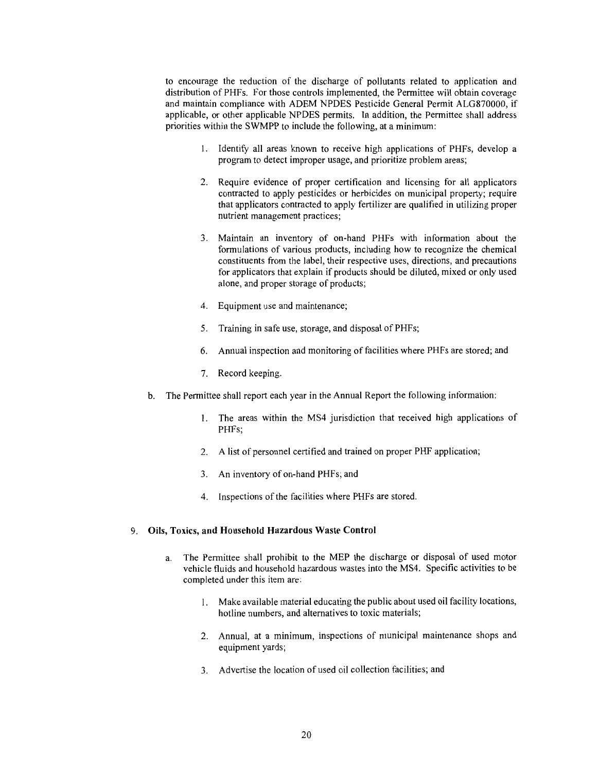to encourage the reduction of the discharge of pollutants related to application and distribution of PHFs. For those controls implemented, the Permittee will obtain coverage and maintain compliance with ADEM NPDES Pesticide General Permit ALG870000, if applicable, or other applicable NPDES permits. In addition, the Permittee shall address priorities within the SWMPP to include the following, at a minimum:

- 1. Identify all areas known to receive high applications of PHFs, develop a program to detect improper usage, and prioritize problem areas;
- 2. Require evidence of proper certification and licensing for all applicators contracted to apply pesticides or herbicides on municipal property; require that applicators contracted to apply fertilizer are qualified in utilizing proper nutrient management practices;
- 3. Maintain an inventory of on-hand PHFs with information about the formulations of various products, including how to recognize the chemical constituents from the label, their respective uses, directions, and precautions for applicators that explain if products should be diluted, mixed or only used alone, and proper storage of products;
- 4. Equipment use and maintenance;
- 5. Training in safe use, storage, and disposal of PHFs;
- 6. Annual inspection and monitoring of facilities where PHFs are stored; and
- 7. Record keeping.
- b. The Permittee shall report each year in the Annual Report the following information:
	- l. The areas within the MS4 jurisdiction that received high applications of PHFs;
	- 2. A list of personnel certified and trained on proper PHF application;
	- 3. An inventory of on-hand PHFs; and
	- 4. Inspections of the facilities where PHFs are stored.

#### 9. **Oils, Toxics, and Household Hazardous Waste Control**

- a. The Permittee shall prohibit to the MEP the discharge or disposal of used motor vehicle fluids and household hazardous wastes into the MS4. Specific activities to be completed under this item are:
	- 1. Make available material educating the public about used oil facility locations, hotline numbers, and alternatives to toxic materials;
	- 2. Annual, at a minimum, inspections of municipal maintenance shops and equipment yards;
	- 3. Advertise the location of used oil collection facilities; and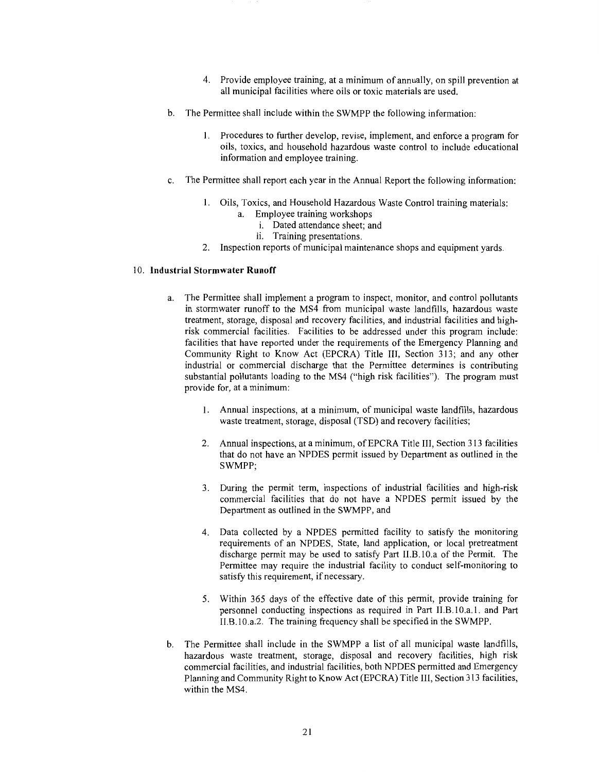- 4. Provide employee training, at a minimum of annually, on spill prevention at all municipal facilities where oils or toxic materials are used.
- b. The Permittee shall include within the SWMPP the following information:
	- 1. Procedures to further develop, revise, implement, and enforce a program for oils, toxics, and household hazardous waste control to include educational information and employee training.
- c. The Permittee shall report each year in the Annual Report the following information:
	- 1. Oils, Toxics, and Household Hazardous Waste Control training materials: a. Employee training workshops
		- i. Dated attendance sheet; and
		- ii. Training presentations.
	- 2. Inspection reports of municipal maintenance shops and equipment yards.

#### 10. **Industrial Stormwater Runoff**

- a. The Permittee shall implement a program to inspect, monitor, and control pollutants in stormwater runoff to the MS4 from municipal waste landfills, hazardous waste treatment, storage, disposal and recovery facilities, and industrial facilities and highrisk commercial facilities. Facilities to be addressed under this program include: facilities that have reported under the requirements of the Emergency Planning and Community Right to Know Act (EPCRA) Title III, Section 313; and any other industrial or commercial discharge that the Permittee determines is contributing substantial pollutants loading to the MS4 ("high risk facilities"). The program must provide for, at a minimum:
	- 1. Annual inspections, at a minimum, of municipal waste landfills, hazardous waste treatment, storage, disposal (TSD) and recovery facilities;
	- 2. Annual inspections, at a minimum, of EPCRA Title III, Section 313 facilities that do not have an NPDES permit issued by Department as outlined in the SWMPP;
	- 3. During the permit term, inspections of industrial facilities and high-risk commercial facilities that do not have a NPDES permit issued by the Department as outlined in the SWMPP, and
	- 4. Data collected by a NPDES permitted facility to satisfy the monitoring requirements of an NPDES, State, land application, or local pretreatment discharge permit may be used to satisfy Part II.B.10.a of the Permit. The Permittee may require the industrial facility to conduct self-monitoring to satisfy this requirement, if necessary.
	- 5. Within 365 days of the effective date of this permit, provide training for personnel conducting inspections as required in Part II.B.10.a.1. and Part ll.8.1 0.a.2. The training frequency shall be specified in the SWMPP.
- b. The Permittee shall include in the SWMPP a list of all municipal waste landfills, hazardous waste treatment, storage, disposal and recovery facilities, high risk commercial facilities, and industrial facilities, both NPDES permitted and Emergency Planning and Community Right to Know Act (EPCRA) Title III, Section 313 facilities, within the MS4.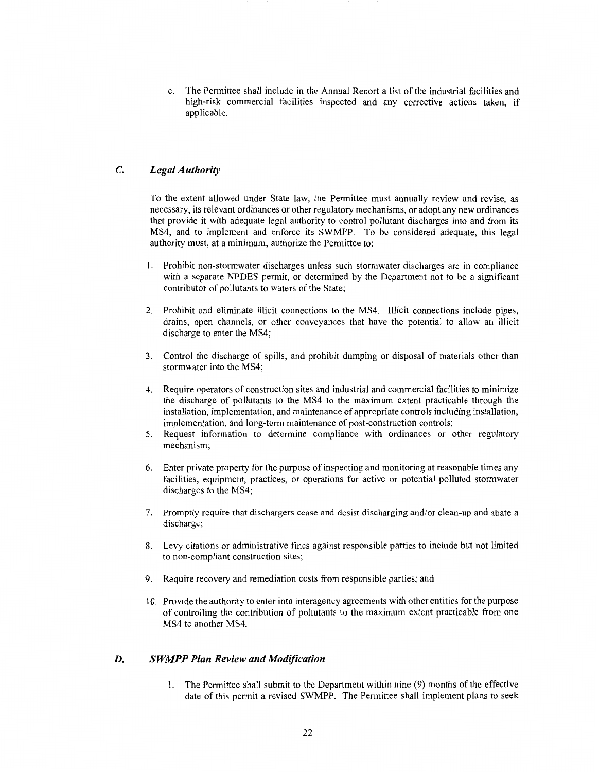c. The Permittee shall include in the Annual Report a list of the industrial facilities and high-risk commercial facilities inspected and any corrective actions taken, if applicable.

#### *C. Legal Authority*

To the extent allowed under State law, the Permittee must annually review and revise, as necessary, its relevant ordinances or other regulatory mechanisms, or adopt any new ordinances that provide it with adequate legal authority to control pollutant discharges into and from its MS4, and to implement and enforce its SWMPP. To be considered adequate, this legal authority must, at a minimum, authorize the Permittee to:

- 1. Prohibit non-stormwater discharges unless such stormwater discharges are in compliance with a separate NPDES permit, or determined by the Department not to be a significant contributor of pollutants to waters of the State;
- 2. Prohibit and eliminate illicit connections to the MS4. Illicit connections include pipes, drains, open channels, or other conveyances that have the potential to allow an illicit discharge to enter the MS4;
- 3. Control the discharge of spills, and prohibit dumping or disposal of materials other than stormwater into the MS4;
- 4. Require operators of construction sites and industrial and commercial facilities to minimize the discharge of pollutants to the MS4 to the maximum extent practicable through the installation, implementation, and maintenance of appropriate controls including installation, implementation, and long-term maintenance of post-construction controls;
- 5. Request information to determine compliance with ordinances or other regulatory mechanism;
- 6. Enter private property for the purpose of inspecting and monitoring at reasonable times any facilities, equipment, practices, or operations for active or potential polluted stormwater discharges to the MS4;
- 7. Promptly require that dischargers cease and desist discharging and/or clean-up and abate a discharge;
- 8. Levy citations or administrative fines against responsible parties to include but not limited to non-compliant construction sites;
- 9. Require recovery and remediation costs from responsible parties; and
- 10. Provide the authority to enter into interagency agreements with other entities for the purpose of controlling the contribution of pollutants to the maximum extent practicable from one MS4 to another MS4.

#### *D. SWMPP Plan Review and Modification*

1. The Permittee shall submit to the Department within nine (9) months of the effective date of this permit a revised SWMPP. The Permittee shall implement plans to seek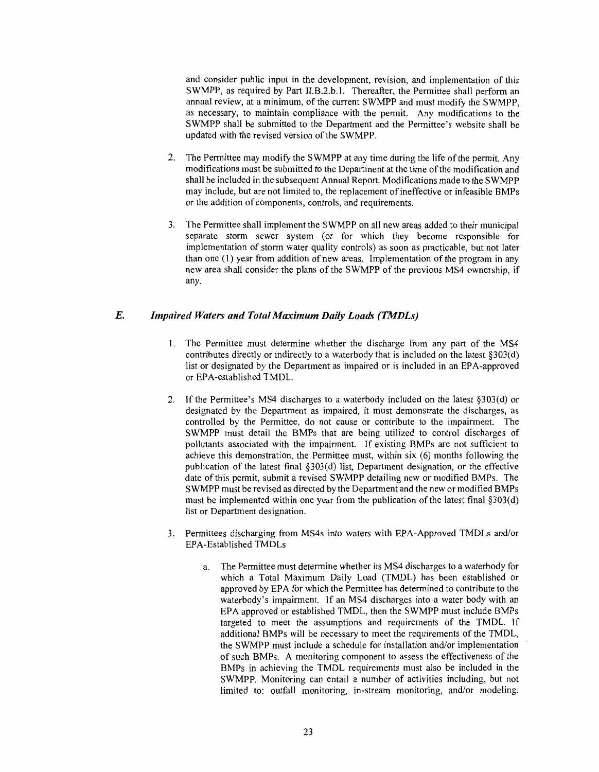and consider public input in the development, revision, and implementation of this SWMPP, as required by Part II.B.2.b.1. Thereafter, the Permittee shall perform an annual review, at a minimum, of the current SWMPP and must modify the SWMPP, as necessary, to maintain compliance with the permit. Any modifications to the SWMPP shall be submitted to the Department and the Permittee's website shall be updated with the revised version of the SWMPP.

- 2. The Permittee may modify the SWMPP at any time during the life of the permit. Any modifications must be submitted to the Department at the time of the modification and shall be included in the subsequent Annual Report. Modifications made to the SWMPP may include, but are not limited to, the replacement of ineffective or infeasible BMPs or the addition of components, controls, and requirements.
- 3. The Permittee shall implement the SWMPP on all new areas added to their municipal separate storm sewer system (or for which they become responsible for implementation of storm water quality controls) as soon as practicable, but not later than one (1) year from addition of new areas. Implementation of the program in any new area shall consider the plans of the SWMPP of the previous MS4 ownership, if any.

#### *E. Impaired Waters and Total Maximum Daily Loads (TMDLs)*

- 1. The Permittee must determine whether the discharge from any part of the MS4 contributes directly or indirectly to a waterbody that is included on the latest §303(d) list or designated by the Department as impaired or is included in an EPA-approved or EPA-established TMDL.
- 2. If the Permittee's MS4 discharges to a waterbody included on the latest §303(d) or designated by the Department as impaired, it must demonstrate the discharges, as controlled by the Permittee, do not cause or contribute to the impairment. The SWMPP must detail the BMPs that are being utilized to control discharges of pollutants associated with the impairment. If existing BMPs are not sufficient to achieve this demonstration, the Permittee must, within six (6) months following the publication of the latest final §303(d) list, Department designation, or the effective date of this permit, submit a revised SWMPP detailing new or modified BMPs. The SWMPP must be revised as directed by the Department and the new or modified BMPs must be implemented within one year from the publication of the latest final §303(d) list or Department designation.
- 3. Permittees discharging from MS4s into waters with EPA-Approved TMDLs and/or EPA-Established TMDLs
	- The Permittee must determine whether its MS4 discharges to a waterbody for which a Total Maximum Daily Load (TMDL) has been established or approved by EPA for which the Permittee has determined to contribute to the waterbody's impairment. If an MS4 discharges into a water body with an EPA approved or established TMDL, then the SWMPP must include BMPs targeted to meet the assumptions and requirements of the TMDL. If additional BMPs will be necessary to meet the requirements of the TMDL, the SWMPP must include a schedule for installation and/or implementation of such BMPs. A monitoring component to assess the effectiveness of the BMPs in achieving the TMDL requirements must also be included in the SWMPP. Monitoring can entail a number of activities including, but not limited to: outfall monitoring, in-stream monitoring, and/or modeling.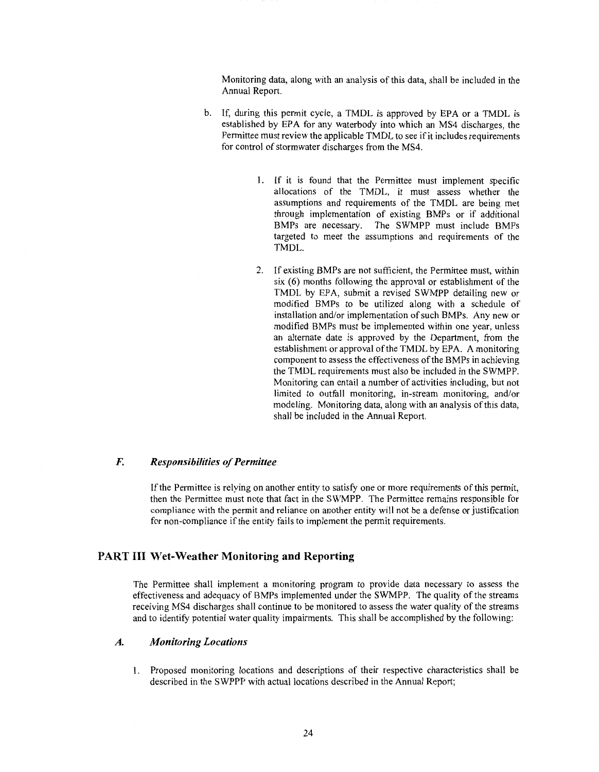Monitoring data, along with an analysis of this data, shall be included in the Annual Report.

- b. If, during this permit cycle, a TMDL is approved by EPA or a TMDL is established by EPA for any waterbody into which an MS4 discharges, the Permittee must review the applicable TMDL to see if it includes requirements for control of stormwater discharges from the MS4.
	- 1. If it is found that the Permittee must implement specific allocations of the TMDL, it must assess whether the assumptions and requirements of the TMDL are being met through implementation of existing BMPs or if additional BMPs are necessary. The SWMPP must include BMPs targeted to meet the assumptions and requirements of the TMDL.
	- 2. If existing BMPs are not sufficient, the Permittee must, within six (6) months following the approval or establishment of the TMDL by EPA, submit a revised SWMPP detailing new or modified BMPs to be utilized along with a schedule of installation and/or implementation of such BMPs. Any new or modified BMPs must be implemented within one year, unless an alternate date is approved by the Department, from the establishment or approval of the TMDL by EPA. A monitoring component to assess the effectiveness of the BMPs in achieving the TMDL requirements must also be included in the SWMPP. Monitoring can entail a number of activities including, but not limited to outfall monitoring, in-stream monitoring, and/or modeling. Monitoring data, along with an analysis of this data, shall be included in the Annual Report.

#### *F. Responsibilities of Permittee*

If the Permittee is relying on another entity to satisfy one or more requirements of this permit, then the Permittee must note that fact in the SWMPP. The Permittee remains responsible for compliance with the permit and reliance on another entity will not be a defense or justification for non-compliance if the entity fails to implement the permit requirements.

#### **PART III Wet-Weather Monitoring and Reporting**

The Permittee shall implement a monitoring program to provide data necessary to assess the effectiveness and adequacy of BMPs implemented under the SWMPP. The quality of the streams receiving MS4 discharges shall continue to be monitored to assess the water quality of the streams and to identify potential water quality impairments. This shall be accomplished by the following:

#### *A. Monitoring Locations*

1. Proposed monitoring locations and descriptions of their respective characteristics shall be described in the SWPPP with actual locations described in the Annual Report;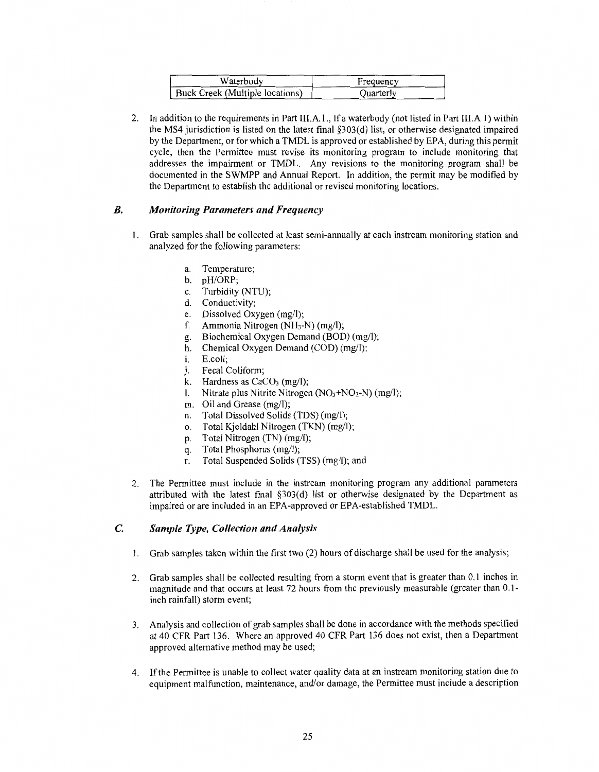| Waterbodv                       | Frequency |
|---------------------------------|-----------|
| Buck Creek (Multiple locations) | Ouarterly |

2. In addition to the requirements in Part III.A. I., if a waterbody (not listed in Part III.A. I) within the MS4 jurisdiction is listed on the latest final §303(d) list, or otherwise designated impaired by the Department, or for which a TMDL is approved or established by EPA, during this permit cycle, then the Permittee must revise its monitoring program to include monitoring that addresses the impairment or TMDL. Any revisions to the monitoring program shall be documented in the **SWMPP** and Annual Report. In addition, the permit may be modified by the Department to establish the additional or revised monitoring locations.

#### *B. Monitoring Parameters and Frequency*

- **1.** Grab samples shall be collected at least semi-annually at each instream monitoring station and analyzed for the following parameters:
	- a. Temperature;
	- b. pH/ORP;
	- c. Turbidity (NTU);
	- d. Conductivity;
	- e. Dissolved Oxygen (mg/I);
	- f. Ammonia Nitrogen (NH<sub>3</sub>-N) (mg/l);
	- g. Biochemical Oxygen Demand (BOD) (mg/I);
	- h. Chemical Oxygen Demand (COD) (mg/I);
	- i. E.coli;
	- j. Fecal Coliform;
	- k. Hardness as  $CaCO<sub>3</sub>$  (mg/l);
	- 1. Nitrate plus Nitrite Nitrogen  $(NO<sub>3</sub>+NO<sub>2</sub>-N)$  (mg/l);
	- m. Oil and Grease (mg/I);
	- n. Total Dissolved Solids (TDS) (mg/I);
	- o. Total Kjeldahl Nitrogen (TKN) (mg/I);
	- p. Total Nitrogen (TN) (mg/I);
	- q. Total Phosphorus (mg/I);
	- r. Total Suspended Solids (TSS) (mg/I); and
- 2. The Permittee must include in the instream monitoring program any additional parameters attributed with the latest final §303(d) list or otherwise designated by the Department as impaired or are included in an EPA-approved or EPA-established TMDL.

#### **C.** *Sample Type, Collection and Analysis*

- **1.** Grab samples taken within the first two (2) hours of discharge shall be used for the analysis;
- 2. Grab samples shall be collected resulting from a storm event that is greater than 0.1 inches in magnitude and that occurs at least 72 hours from the previously measurable (greater than 0.1 inch rainfall) storm event;
- 3. Analysis and collection of grab samples shall be done in accordance with the methods specified at 40 CFR Part 136. Where an approved 40 CFR Part 136 does not exist, then a Department approved alternative method may be used;
- 4. If the Permittee is unable to collect water quality data at an instream monitoring station due to equipment malfunction, maintenance, and/or damage, the Permittee must include a description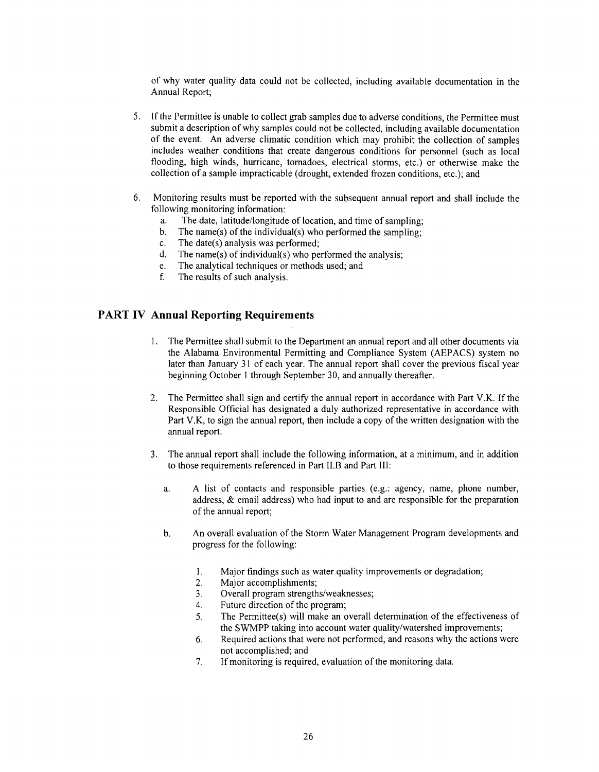of why water quality data could not be collected, including available documentation in the Annual Report;

- 5. If the Permittee is unable to collect grab samples due to adverse conditions, the Permittee must submit a description of why samples could not be collected, including available documentation of the event. An adverse climatic condition which may prohibit the collection of samples includes weather conditions that create dangerous conditions for personnel (such as local flooding, high winds, hurricane, tornadoes, electrical storms, etc.) or otherwise make the collection of a sample impracticable (drought, extended frozen conditions, etc.); and
- 6. Monitoring results must be reported with the subsequent annual report and shall include the following monitoring information:
	- a. The date, latitude/longitude of location, and time of sampling;
	- b. The name(s) of the individual(s) who performed the sampling;
	- c. The date(s) analysis was performed;
	- d. The name(s) of individual(s) who performed the analysis;
	- e. The analytical techniques or methods used; and
	- f. The results of such analysis.

#### **PART IV Annual Reporting Requirements**

- 1. The Permittee shall submit to the Department an annual report and all other documents via the Alabama Environmental Permitting and Compliance System (AEP ACS) system no later than January 31 of each year. The annual report shall cover the previous fiscal year beginning October 1 through September 30, and annually thereafter.
- 2. The Permittee shall sign and certify the annual report in accordance with Part **V.K.** If the Responsible Official has designated a duly authorized representative in accordance with Part **V.K,** to sign the annual report, then include a copy of the written designation with the annual report.
- 3. The annual report shall include the following information, at a minimum, and in addition to those requirements referenced in Part 11.B and Part III:
	- a. A list of contacts and responsible parties (e.g.: agency, name, phone number, address, & email address) who had input to and are responsible for the preparation of the annual report;
	- b. An overall evaluation of the Storm Water Management Program developments and progress for the following:
		- 1. Major findings such as water quality improvements or degradation;
		- 2. Major accomplishments;
		- 3. Overall program strengths/weaknesses;
		- 4. Future direction of the program;
		- 5. The Permittee(s) will make an overall determination of the effectiveness of the SWMPP taking into account water quality/watershed improvements;
		- 6. Required actions that were not performed, and reasons why the actions were not accomplished; and
		- 7. If monitoring is required, evaluation of the monitoring data.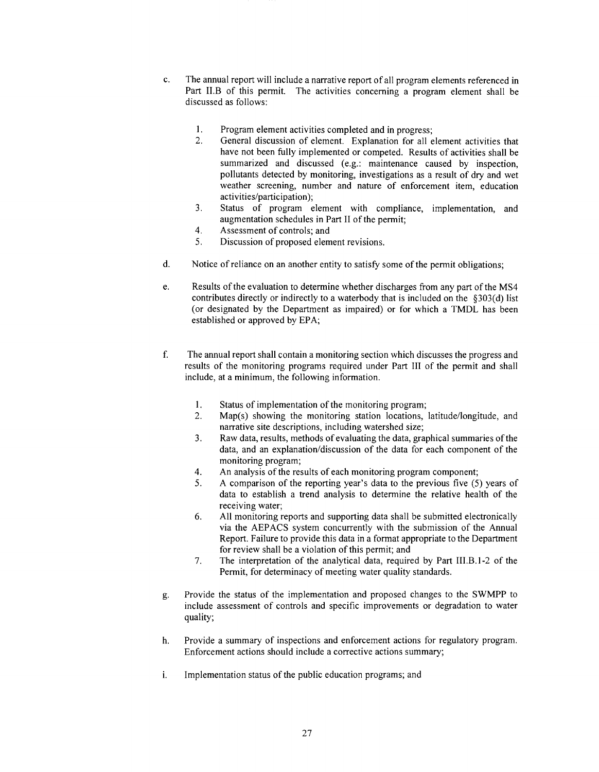- c. The annual report will include a narrative report of all program elements referenced in Part II.B of this permit. The activities concerning a program element shall be discussed as follows:
	- 1. Program element activities completed and in progress;
	- 2. General discussion of element. Explanation for all element activities that have not been fully implemented or competed. Results of activities shall be summarized and discussed (e.g.: maintenance caused by inspection, pollutants detected by monitoring, investigations as a result of dry and wet weather screening, number and nature of enforcement item, education activities/participation);
	- 3. Status of program element with compliance, implementation, and augmentation schedules in Part II of the permit;
	- 4. Assessment of controls; and
	- 5. Discussion of proposed element revisions.
- d. Notice ofreliance on an another entity to satisfy some of the permit obligations;
- e. Results of the evaluation to determine whether discharges from any part of the MS4 contributes directly or indirectly to a waterbody that is included on the §303(d) list (or designated by the Department as impaired) or for which a TMDL has been established or approved by EPA;
- f. The annual report shall contain a monitoring section which discusses the progress and results of the monitoring programs required under Part III of the permit and shall include, at a minimum, the following information.
	- 1. Status of implementation of the monitoring program;
	- 2. Map(s) showing the monitoring station locations, latitude/longitude, and narrative site descriptions, including watershed size;
	- 3. Raw data, results, methods of evaluating the data, graphical summaries of the data, and an explanation/discussion of the data for each component of the monitoring program;
	- 4. An analysis of the results of each monitoring program component;
	- 5. A comparison of the reporting year's data to the previous five (5) years of data to establish a trend analysis to determine the relative health of the receiving water;
	- 6. All monitoring reports and supporting data shall be submitted electronically via the AEP ACS system concurrently with the submission of the Annual Report. Failure to provide this data in a format appropriate to the Department for review shall be a violation of this permit; and
	- 7. The interpretation of the analytical data, required by Part III.B.1-2 of the Permit, for determinacy of meeting water quality standards.
- g. Provide the status of the implementation and proposed changes to the SWMPP to include assessment of controls and specific improvements or degradation to water quality;
- h. Provide a summary of inspections and enforcement actions for regulatory program. Enforcement actions should include a corrective actions summary;
- i. Implementation status of the public education programs; and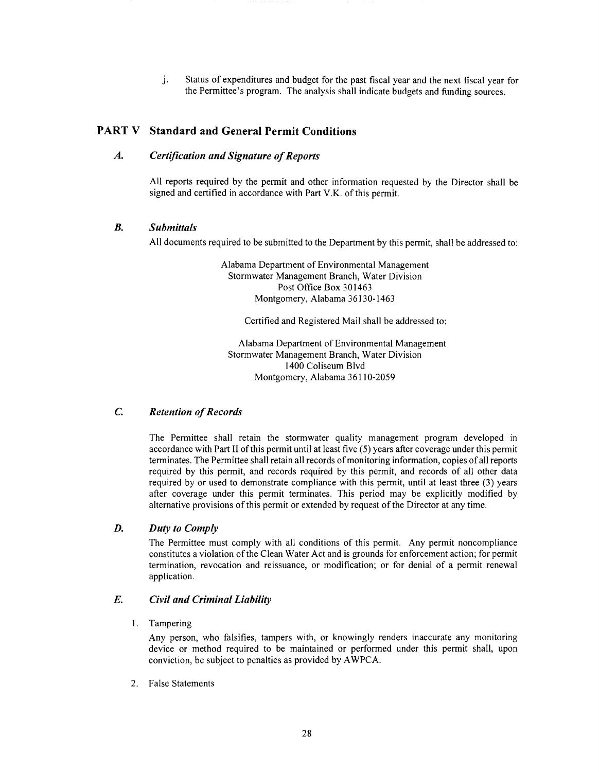j. Status of expenditures and budget for the past fiscal year and the next fiscal year for the Permittee's program. The analysis shall indicate budgets and funding sources.

#### **PART V Standard and General Permit Conditions**

#### *A. Certification and Signature of Reports*

All reports required by the permit and other information requested by the Director shall be signed and certified in accordance with Part V.K. of this permit.

#### *B. Submittals*

All documents required to be submitted to the Department by this permit, shall be addressed to:

Alabama Department of Environmental Management Stormwater Management Branch, Water Division Post Office Box 301463 Montgomery, Alabama 36130-1463

Certified and Registered Mail shall be addressed to:

Alabama Department of Environmental Management Stormwater Management Branch, Water Division 1400 Coliseum Blvd Montgomery, Alabama 36110-2059

#### *C. Retention of Records*

The Permittee shall retain the stormwater quality management program developed in accordance with Part II of this permit until at least five (5) years after coverage under this permit terminates. The Permittee shall retain all records of monitoring information, copies of all reports required by this permit, and records required by this permit, and records of all other data required by or used to demonstrate compliance with this permit, until at least three (3) years after coverage under this permit terminates. This period may be explicitly modified by alternative provisions of this permit or extended by request of the Director at any time.

#### *D. Duty to Comply*

The Permittee must comply with all conditions of this permit. Any permit noncompliance constitutes a violation of the Clean Water Act and is grounds for enforcement action; for permit termination, revocation and reissuance, or modification; or for denial of a permit renewal application.

#### *E. Civil and Criminal Liability*

1. Tampering

Any person, who falsifies, tampers with, or knowingly renders inaccurate any monitoring device or method required to be maintained or performed under this permit shall, upon conviction, be subject to penalties as provided by A WPCA.

2. False Statements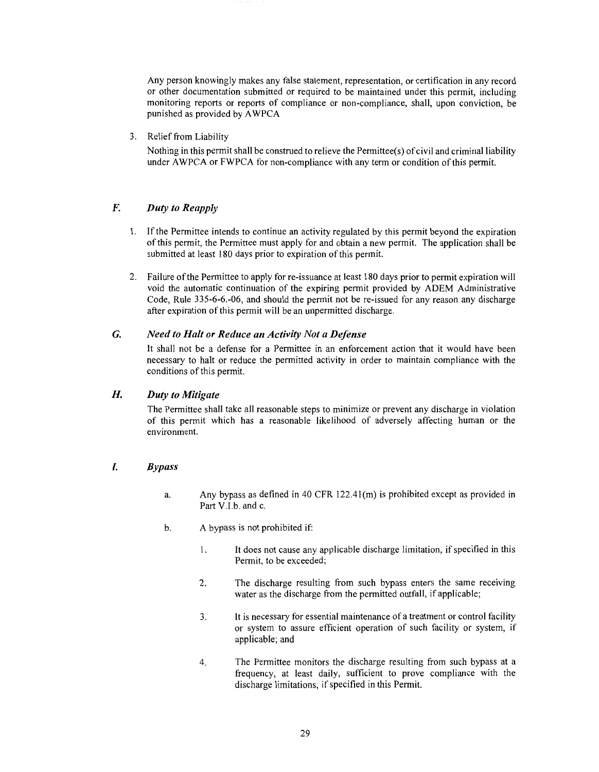Any person knowingly makes any false statement, representation, or certification in any record or other documentation submitted or required to be maintained under this permit, including monitoring reports or reports of compliance or non-compliance, shall, upon conviction, be punished as provided by AWPCA

3. Relief from Liability

Nothing in this permit shall be construed to relieve the Permittee(s) of civil and criminal liability under A WPCA or FWPCA for non-compliance with any term or condition of this permit.

#### *F. Duty to Reapply*

- 1. If the Permittee intends to continue an activity regulated by this permit beyond the expiration of this permit, the Permittee must apply for and obtain a new permit. The application shall be submitted at least 180 days prior to expiration of this permit.
- 2. Failure of the Permittee to apply for re-issuance at least 180 days prior to permit expiration will void the automatic continuation of the expiring permit provided by ADEM Administrative Code, Rule 335-6-6.-06, and should the permit not be re-issued for any reason any discharge after expiration of this permit will be an unpermitted discharge.

#### *G. Need to Halt or Reduce an Activity Not a Defense*

It shall not be a defense for a Permittee in an enforcement action that it would have been necessary to halt or reduce the permitted activity in order to maintain compliance with the conditions of this permit.

#### *H. Duty to Mitigate*

The Permittee shall take all reasonable steps to minimize or prevent any discharge in violation of this permit which has a reasonable likelihood of adversely affecting human or the environment.

#### *I. Bypass*

- a. Any bypass as defined in 40 CFR  $122.41$ (m) is prohibited except as provided in Part V.I.b. and c.
- b. A bypass is not prohibited if:
	- I. It does not cause any applicable discharge limitation, if specified in this Permit, to be exceeded;
	- 2. The discharge resulting from such bypass enters the same receiving water as the discharge from the permitted outfall, if applicable;
	- 3. It is necessary for essential maintenance of a treatment or control facility or system to assure efficient operation of such facility or system, if applicable; and
	- 4. The Permittee monitors the discharge resulting from such bypass at a frequency, at least daily, sufficient to prove compliance with the discharge limitations, if specified in this Permit.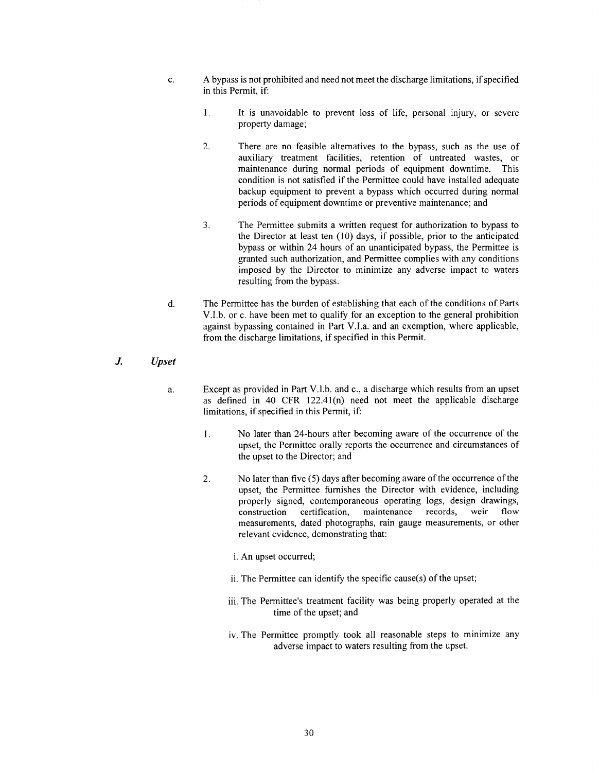- c. A bypass is not prohibited and need not meet the discharge limitations, if specified in this Permit, if:
	- **1.** It is unavoidable to prevent loss of life, personal injury, or severe property damage;
	- 2. There are no feasible alternatives to the bypass, such as the use of auxiliary treatment facilities, retention of untreated wastes, or maintenance during normal periods of equipment downtime. This condition is not satisfied if the Permittee could have installed adequate backup equipment to prevent a bypass which occurred during normal periods of equipment downtime or preventive maintenance; and
	- 3. The Permittee submits a written request for authorization to bypass to the Director at least ten (10) days, if possible, prior to the anticipated bypass or within 24 hours of an unanticipated bypass, the Permittee is granted such authorization, and Permittee complies with any conditions imposed by the Director to minimize any adverse impact to waters resulting from the bypass.
- d. The Permittee has the burden of establishing that each of the conditions of Parts V.I.b. or c. have been met to qualify for an exception to the general prohibition against bypassing contained in Part V.I.a. and an exemption, where applicable, from the discharge limitations, if specified in this Permit.

#### *J. Upset*

- a. Except as provided in Part V.I.b. and c., a discharge which results from an upset as defined in 40 CFR 122.4l(n) need not meet the applicable discharge limitations, if specified in this Permit, if:
	- 1. No later than 24-hours after becoming aware of the occurrence of the upset, the Permittee orally reports the occurrence and circumstances of the upset to the Director; and
	- 2. No later than five (5) days after becoming aware of the occurrence of the upset, the Permittee furnishes the Director with evidence, including properly signed, contemporaneous operating logs, design drawings, construction certification, maintenance records, weir flow construction certification, maintenance records, weir flow measurements, dated photographs, rain gauge measurements, or other relevant evidence, demonstrating that:
		- i. An upset occurred;
		- ii. The Permittee can identify the specific cause(s) of the upset;
		- iii. The Permittee's treatment facility was being properly operated at the time of the upset; and
		- iv. The Permittee promptly took all reasonable steps to minimize any adverse impact to waters resulting from the upset.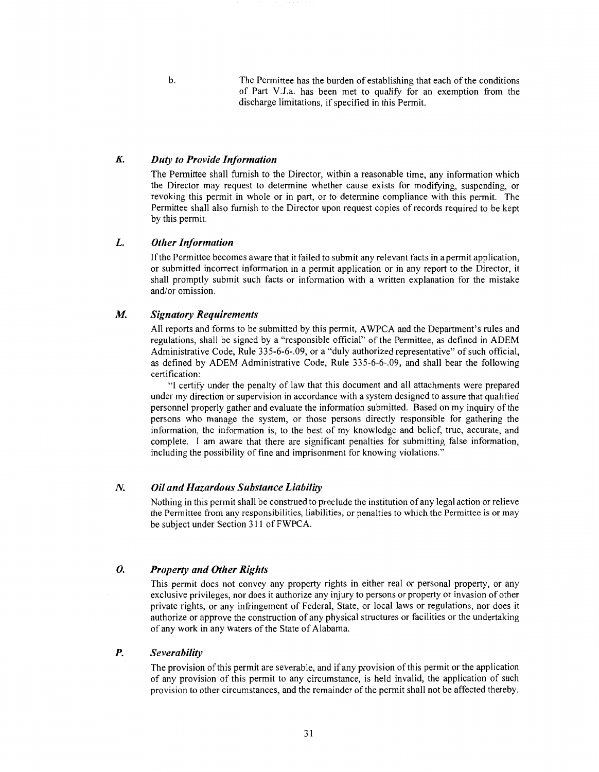b. The Permittee has the burden of establishing that each of the conditions of Part V.J.a. has been met to qualify for an exemption from the discharge limitations, if specified in this Permit.

#### *K Duty to Provide Information*

The Permittee shall furnish to the Director, within a reasonable time, any information which the Director may request to determine whether cause exists for modifying, suspending, or revoking this permit in whole or in part, or to determine compliance with this permit. The Permittee shall also furnish to the Director upon request copies of records required to be kept by this permit.

#### **L.** *Other Information*

If the Permittee becomes aware that it failed to submit any relevant facts in a permit application, or submitted incorrect information in a permit application or in any report to the Director, it shall promptly submit such facts or information with a written explanation for the mistake and/or omission.

#### *M. Signatory Requirements*

All reports and forms to be submitted by this permit, A WPCA and the Department's rules and regulations, shall be signed by a "responsible official" of the Permittee, as defined in ADEM Administrative Code, Rule 335-6-6-.09, or a "duly authorized representative" of such official, as defined by ADEM Administrative Code, Rule 335-6-6-.09, and shall bear the following certification:

"I certify under the penalty of law that this document and all attachments were prepared under my direction or supervision in accordance with a system designed to assure that qualified personnel properly gather and evaluate the information submitted. Based on my inquiry of the persons who manage the system, or those persons directly responsible for gathering the information, the information is, to the best of my knowledge and belief, true, accurate, and complete. I am aware that there are significant penalties for submitting false information, including the possibility of fine and imprisonment for knowing violations."

#### *N. Oil and Hazardous Substance Liability*

Nothing in this permit shall be construed to preclude the institution of any legal action or relieve the Permittee from any responsibilities, liabilities, or penalties to which the Permittee is or may be subject under Section 311 ofFWPCA.

#### *0. Property and Other Rights*

This permit does not convey any property rights in either real or personal property, or any exclusive privileges, nor does it authorize any injury to persons or property or invasion of other private rights, or any infringement of Federal, State, or local laws or regulations, nor does it authorize or approve the construction of any physical structures or facilities or the undertaking of any work in any waters of the State of Alabama.

#### *P. Severability*

The provision of this permit are severable, and if any provision of this permit or the application of any provision of this permit to any circumstance, is held invalid, the application of such provision to other circumstances, and the remainder of the permit shall not be affected thereby.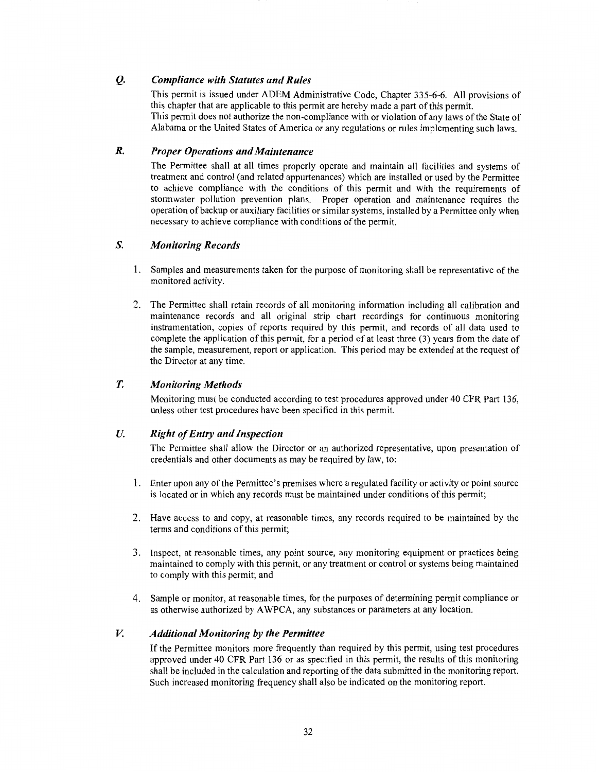#### **Q.** *Compliance with Statutes and Rules*

This pennit is issued under ADEM Administrative Code, Chapter 335-6-6. All provisions of this chapter that are applicable to this permit are hereby made a part of this permit. This permit does not authorize the non-compliance with or violation of any laws of the State of Alabama or the United States of America or any regulations or rules implementing such laws.

#### *R. Proper Operations and Maintenance*

The Permittee shall at all times properly operate and maintain all facilities and systems of treatment and control (and related appurtenances) which are installed or used by the Permittee to achieve compliance with the conditions of this permit and with the requirements of stormwater pollution prevention plans. Proper operation and maintenance requires the operation of backup or auxiliary facilities or similar systems, installed by a Permittee only when necessary to achieve compliance with conditions of the permit.

#### *S. Monitoring Records*

- 1. Samples and measurements taken for the purpose of monitoring shall be representative of the monitored activity.
- 2. The Permittee shall retain records of all monitoring information including all calibration and maintenance records and all original strip chart recordings for continuous monitoring instrumentation, copies of reports required by this permit, and records of all data used to complete the application of this permit, for a period of at least three (3) years from the date of the sample, measurement, report or application. This period may be extended at the request of the Director at any time.

#### *T. Monitoring Methods*

Monitoring must be conducted according to test procedures approved under 40 CFR Part 136, unless other test procedures have been specified in this permit.

#### *U. Right of Entry and Inspection*

The Permittee shall allow the Director or an authorized representative, upon presentation of credentials and other documents as may be required by law, to:

- 1. Enter upon any of the Permittee's premises where a regulated facility or activity or point source is located or in which any records must be maintained under conditions of this permit;
- 2. Have access to and copy, at reasonable times, any records required to be maintained by the terms and conditions of this permit;
- 3. Inspect, at reasonable times, any point source, any monitoring equipment or practices being maintained to comply with this permit, or any treatment or control or systems being maintained to comply with this permit; and
- 4. Sample or monitor, at reasonable times, for the purposes of determining pennit compliance or as otherwise authorized by A WPCA, any substances or parameters at any location.

#### *V. Additional Monitoring by the Permittee*

If the Permittee monitors more frequently than required by this permit, using test procedures approved under 40 CFR Part 136 or as specified in this permit, the results of this monitoring shall be included in the calculation and reporting of the data submitted in the monitoring report. Such increased monitoring frequency shall also be indicated on the monitoring report.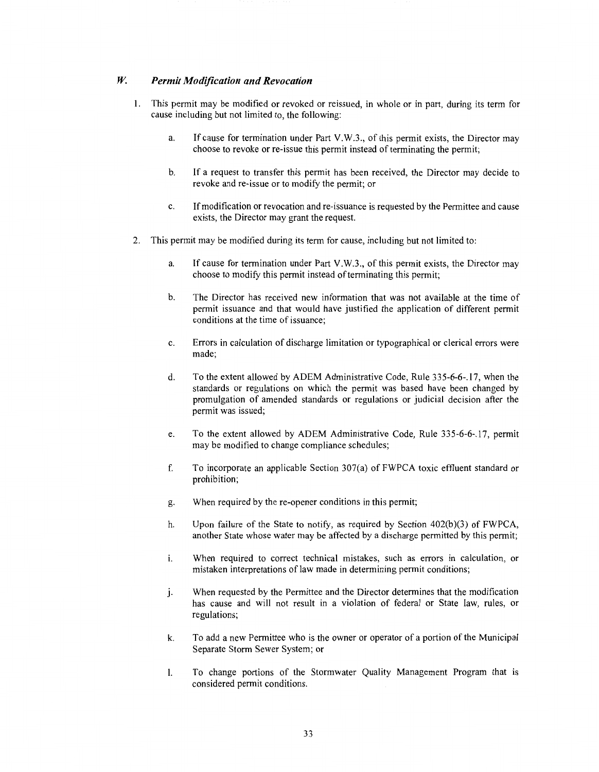#### *W. Permit Modification and Revocation*

- **1.** This permit may be modified or revoked or reissued, in whole or in part, during its term for cause including but not limited to, the following:
	- a. If cause for termination under Part V.W.3., of this permit exists, the Director may choose to revoke or re-issue this permit instead of terminating the permit;
	- b. If a request to transfer this permit has been received, the Director may decide to revoke and re-issue or to modify the permit; or
	- c. If modification or revocation and re-issuance is requested by the Permittee and cause exists, the Director may grant the request.
- 2. This permit may be modified during its term for cause, including but not limited to:
	- a. If cause for termination under Part V.W.3., of this permit exists, the Director may choose to modify this permit instead of terminating this permit;
	- b. The Director has received new information that was not available at the time of permit issuance and that would have justified the application of different permit conditions at the time of issuance;
	- c. Errors in calculation of discharge limitation or typographical or clerical errors were made;
	- d. To the extent allowed by ADEM Administrative Code, Rule 335-6-6-.17, when the standards or regulations on which the permit was based have been changed by promulgation of amended standards or regulations or judicial decision after the permit was issued;
	- e. To the extent allowed by ADEM Administrative Code, Rule 335-6-6-.17, permit may be modified to change compliance schedules;
	- f. To incorporate an applicable Section 307(a) of FWPCA toxic effluent standard or prohibition;
	- g. When required by the re-opener conditions in this permit;
	- h. Upon failure of the State to notify, as required by Section 402(b)(3) of FWPCA, another State whose water may be affected by a discharge permitted by this permit;
	- i. When required to correct technical mistakes, such as errors in calculation, or mistaken interpretations of law made in determining permit conditions;
	- j. When requested by the Permittee and the Director determines that the modification has cause and will not result in a violation of federal or State law, rules, or regulations;
	- k. To add a new Permittee who is the owner or operator of a portion of the Municipal Separate Storm Sewer System; or
	- I. To change portions of the Stormwater Quality Management Program that is considered permit conditions.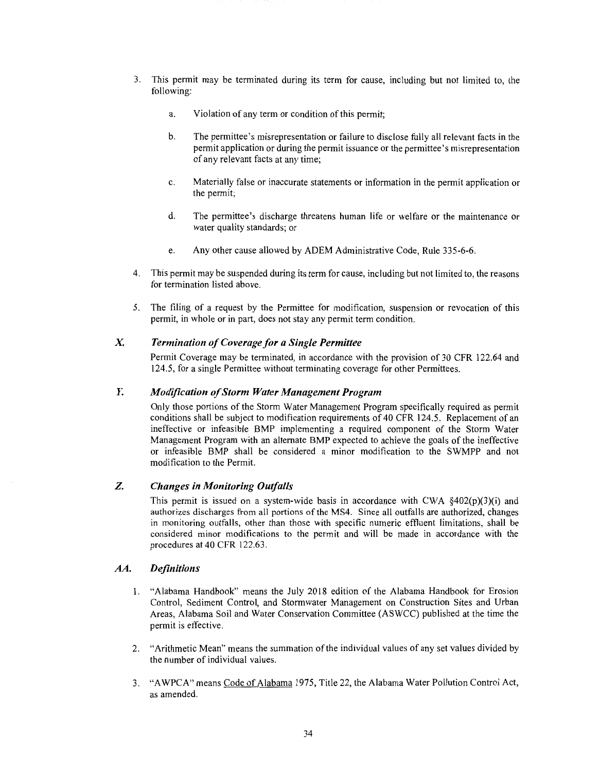- 3. This permit may be terminated during its term for cause, including but not limited to, the following:
	- a. Violation of any term or condition of this permit;
	- b. The permittee's misrepresentation or failure to disclose fully all relevant facts in the permit application or during the permit issuance or the permittee's misrepresentation of any relevant facts at any time;
	- c. Materially false or inaccurate statements or information in the permit application or the permit;
	- d. The permittee's discharge threatens human life or welfare or the maintenance or water quality standards; or
	- e. Any other cause allowed by ADEM Administrative Code, Rule 335-6-6.
- 4. This permit may be suspended during its term for cause, including but not limited to, the reasons for termination listed above.
- 5. The filing of a request by the Permittee for modification, suspension or revocation of this permit, in whole or in part, does not stay any permit term condition.

#### *X Termination of Coverage for a Single Permittee*

Permit Coverage may be terminated, in accordance with the provision of 30 CFR 122.64 and 124.5, for a single Permittee without terminating coverage for other Permittees.

#### *Y. Modification of Storm Water Management Program*

Only those portions of the Storm Water Management Program specifically required as permit conditions shall be subject to modification requirements of 40 CFR 124.5. Replacement of an ineffective or infeasible BMP implementing a required component of the Storm Water Management Program with an alternate BMP expected to achieve the goals of the ineffective or infeasible BMP shall be considered a minor modification to the SWMPP and not modification to the Permit.

#### *Z. Changes in Monitoring Outfalls*

This permit is issued on a system-wide basis in accordance with CWA  $\frac{8402(p)(3)(i)}{2}$  and authorizes discharges from all portions of the MS4. Since all outfalls are authorized, changes in monitoring outfalls, other than those with specific numeric effluent limitations, shall be considered minor modifications to the permit and will be made in accordance with the procedures at 40 CFR 122.63.

#### *AA. Definitions*

- 1. "Alabama Handbook" means the July 2018 edition of the Alabama Handbook for Erosion Control, Sediment Control, and Stormwater Management on Construction Sites and Urban Areas, Alabama Soil and Water Conservation Committee (ASWCC) published at the time the permit is effective.
- 2. "Arithmetic Mean" means the summation of the individual values of any set values divided by the number of individual values.
- 3. "A WPCA" means Code of Alabama 1975, Title 22, the Alabama Water Pollution Control Act, as amended.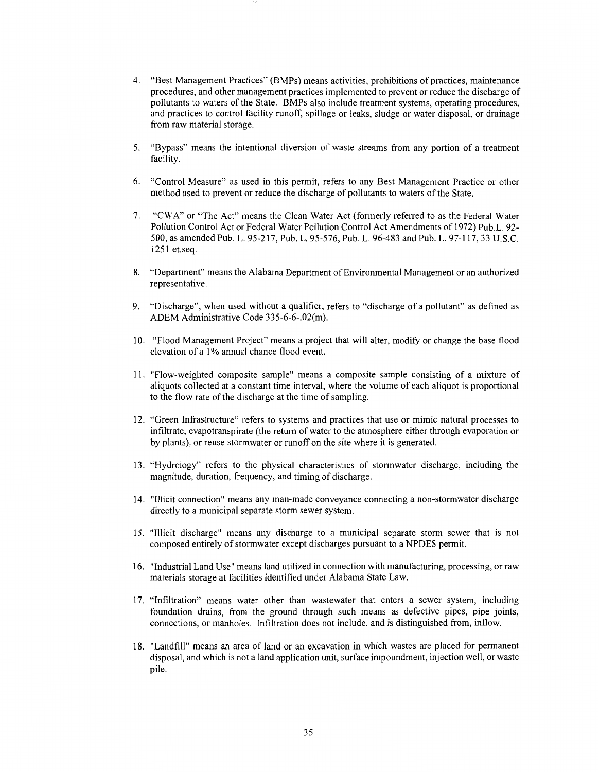- 4. "Best Management Practices" (BMPs) means activities, prohibitions of practices, maintenance procedures, and other management practices implemented to prevent or reduce the discharge of pollutants to waters of the State. BMPs also include treatment systems, operating procedures, and practices to control facility runoff, spillage or leaks, sludge or water disposal, or drainage from raw material storage.
- 5. "Bypass" means the intentional diversion of waste streams from any portion of a treatment facility.
- 6. "Control Measure" as used in this permit, refers to any Best Management Practice or other method used to prevent or reduce the discharge of pollutants to waters of the State.
- 7. "CWA" or "The Act" means the Clean Water Act (formerly referred to as the Federal Water Pollution Control Act or Federal Water Pollution Control Act Amendments of 1972) Pub.L. 92- 500, as amended Pub. L. 95-217, Pub. L. 95-576, Pub. L. 96-483 and Pub. L. 97-117, 33 U.S.C. 1251 et.seq.
- 8. "Department" means the Alabama Department of Environmental Management or an authorized representative.
- 9. "Discharge", when used without a qualifier, refers to "discharge of a pollutant" as defined as ADEM Administrative Code 335-6-6-.02(m).
- 10. "Flood Management Project" means a project that will alter, modify or change the base flood elevation of a I% annual chance flood event.
- 11. "Flow-weighted composite sample" means a composite sample consisting of a mixture of aliquots collected at a constant time interval, where the volume of each aliquot is proportional to the flow rate of the discharge at the time of sampling.
- 12. "Green Infrastructure" refers to systems and practices that use or mimic natural processes to infiltrate, evapotranspirate (the return of water to the atmosphere either through evaporation or by plants), or reuse stormwater or runoff on the site where it is generated.
- 13. "Hydrology" refers to the physical characteristics of stormwater discharge, including the magnitude, duration, frequency, and timing of discharge.
- 14. "Illicit connection" means any man-made conveyance connecting a non-stormwater discharge directly to a municipal separate storm sewer system.
- 15. "Illicit discharge" means any discharge to a municipal separate storm sewer that is not composed entirely of stormwater except discharges pursuant to a NPDES permit.
- 16. "Industrial Land Use" means land utilized in connection with manufacturing, processing, or raw materials storage at facilities identified under Alabama State Law.
- 17. "Infiltration" means water other than wastewater that enters a sewer system, including foundation drains, from the ground through such means as defective pipes, pipe joints, connections, or manholes. Infiltration does not include, and is distinguished from, inflow.
- 18. "Landfill" means an area of land or an excavation in which wastes are placed for permanent disposal, and which is not a land application unit, surface impoundment, injection well, or waste pile.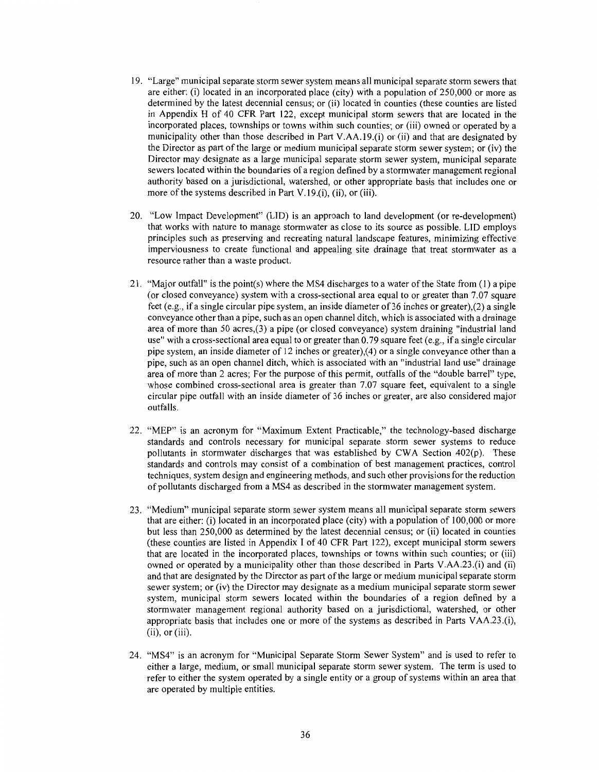- 19. "Large" municipal separate storm sewer system means all municipal separate storm sewers that are either: (i) located in an incorporated place (city) with a population of 250,000 or more as determined by the latest decennial census; or (ii) located in counties (these counties are listed in Appendix H of 40 CFR Part 122, except municipal storm sewers that are located in the incorporated places, townships or towns within such counties; or (iii) owned or operated by a municipality other than those described in Part V.AA.19.(i) or (ii) and that are designated by the Director as part of the large or medium municipal separate storm sewer system; or (iv) the Director may designate as a large municipal separate storm sewer system, municipal separate sewers located within the boundaries of a region defined by a storm water management regional authority based on a jurisdictional, watershed, or other appropriate basis that includes one or more of the systems described in Part V.19.(i), (ii), or (iii).
- 20. "Low Impact Development" (LID) is an approach to land development (or re-development) that works with nature to manage stormwater as close to its source as possible. LID employs principles such as preserving and recreating natural landscape features, minimizing effective imperviousness to create functional and appealing site drainage that treat stormwater as a resource rather than a waste product.
- 21. "Major outfall" is the point(s) where the MS4 discharges to a water of the State from (I) a pipe (or closed conveyance) system with a cross-sectional area equal to or greater than 7.07 square feet ( e.g., if a single circular pipe system, an inside diameter of 36 inches or greater),(2) a single conveyance other than a pipe, such as an open channel ditch, which is associated with a drainage area of more than 50 acres,(3) a pipe (or closed conveyance) system draining "industrial land use" with a cross-sectional area equal to or greater than  $0.79$  square feet (e.g., if a single circular pipe system, an inside diameter of 12 inches or greater),(4) or a single conveyance other than a pipe, such as an open channel ditch, which is associated with an "industrial land use" drainage area of more than 2 acres; For the purpose of this permit, outfalls of the "double barrel" type, whose combined cross-sectional area is greater than 7.07 square feet, equivalent to a single circular pipe outfall with an inside diameter of 36 inches or greater, are also considered major outfalls.
- 22. "MEP" is an acronym for "Maximum Extent Practicable," the technology-based discharge standards and controls necessary for municipal separate storm sewer systems to reduce pollutants in stormwater discharges that was established by CWA Section 402(p). These standards and controls may consist of a combination of best management practices, control techniques, system design and engineering methods, and such other provisions for the reduction of pollutants discharged from a MS4 as described in the stormwater management system.
- 23. "Medium" municipal separate storm sewer system means all municipal separate storm sewers that are either: (i) located in an incorporated place (city) with a population of 100,000 or more but less than 250,000 as determined by the latest decennial census; or (ii) located in counties (these counties are listed in Appendix I of 40 CFR Part 122), except municipal storm sewers that are located in the incorporated places, townships or towns within such counties; or (iii) owned or operated by a municipality other than those described in Parts V.AA.23.(i) and (ii) and that are designated by the Director as part of the large or medium municipal separate storm sewer system; or (iv) the Director may designate as a medium municipal separate storm sewer system, municipal storm sewers located within the boundaries of a region defined by a stormwater management regional authority based on a jurisdictional, watershed, or other appropriate basis that includes one or more of the systems as described in Parts V AA.23 .(i),  $(ii)$ , or  $(iii)$ .
- 24. "MS4" is an acronym for "Municipal Separate Storm Sewer System" and is used to refer to either a large, medium, or small municipal separate storm sewer system. The term is used to refer to either the system operated by a single entity or a group of systems within an area that are operated by multiple entities.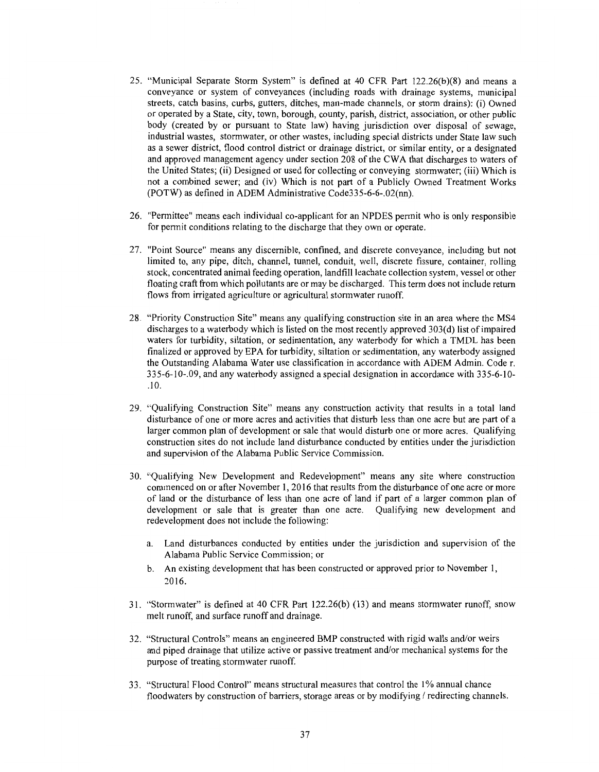- 25. "Municipal Separate Storm System" is defined at 40 CFR Part 122.26(b)(8) and means a conveyance or system of conveyances (including roads with drainage systems, municipal streets, catch basins, curbs, gutters, ditches, man-made channels, or storm drains): (i) Owned or operated by a State, city, town, borough, county, parish, district, association, or other public body (created by or pursuant to State law) having jurisdiction over disposal of sewage, industrial wastes, stormwater, or other wastes, including special districts under State law such as a sewer district, flood control district or drainage district, or similar entity, or a designated and approved management agency under section 208 of the CW A that discharges to waters of the United States; (ii) Designed or used for collecting or conveying stormwater; (iii) Which is not a combined sewer; and (iv) Which is not part of a Publicly Owned Treatment Works (POTW) as defined in ADEM Administrative Code335-6-6-.02(nn).
- 26. "Permittee" means each individual co-applicant for an NPDES permit who is only responsible for permit conditions relating to the discharge that they own or operate.
- 27. "Point Source" means any discernible, confined, and discrete conveyance, including but not limited to, any pipe, ditch, channel, tunnel, conduit, well, discrete fissure, container, rolling stock, concentrated animal feeding operation, landfill leachate collection system, vessel or other floating craft from which pollutants are or may be discharged. This term does not include return flows from irrigated agriculture or agricultural stormwater runoff.
- 28. "Priority Construction Site" means any qualifying construction site in an area where the MS4 discharges to a waterbody which is listed on the most recently approved 303(d) list of impaired waters for turbidity, siltation, or sedimentation, any waterbody for which a TMDL has been finalized or approved by EPA for turbidity, siltation or sedimentation, any waterbody assigned the Outstanding Alabama Water use classification in accordance with ADEM Admin. Code r. 335-6-10-.09, and any waterbody assigned a special designation in accordance with 335-6-10- .10.
- 29. "Qualifying Construction Site" means any construction activity that results in a total land disturbance of one or more acres and activities that disturb less than one acre but are part of a larger common plan of development or sale that would disturb one or more acres. Qualifying construction sites do not include land disturbance conducted by entities under the jurisdiction and supervision of the Alabama Public Service Commission.
- 30. "Qualifying New Development and Redevelopment" means any site where construction commenced on or after November 1, 2016 that results from the disturbance of one acre or more of land or the disturbance of less than one acre of land if part of a larger common plan of development or sale that is greater than one acre. Qualifying new development and redevelopment does not include the following:
	- a. Land disturbances conducted by entities under the jurisdiction and supervision of the Alabama Public Service Commission; or
	- b. An existing development that has been constructed or approved prior to November 1, 2016.
- 31. "Stormwater" is defined at 40 CFR Part 122.26(b) (13) and means stormwater runoff, snow melt runoff, and surface runoff and drainage.
- 32. "Structural Controls" means an engineered BMP constructed with rigid walls and/or weirs and piped drainage that utilize active or passive treatment and/or mechanical systems for the purpose of treating stormwater runoff.
- 33. "Structural Flood Control" means structural measures that control the 1 % annual chance floodwaters by construction of barriers, storage areas or by modifying/ redirecting channels.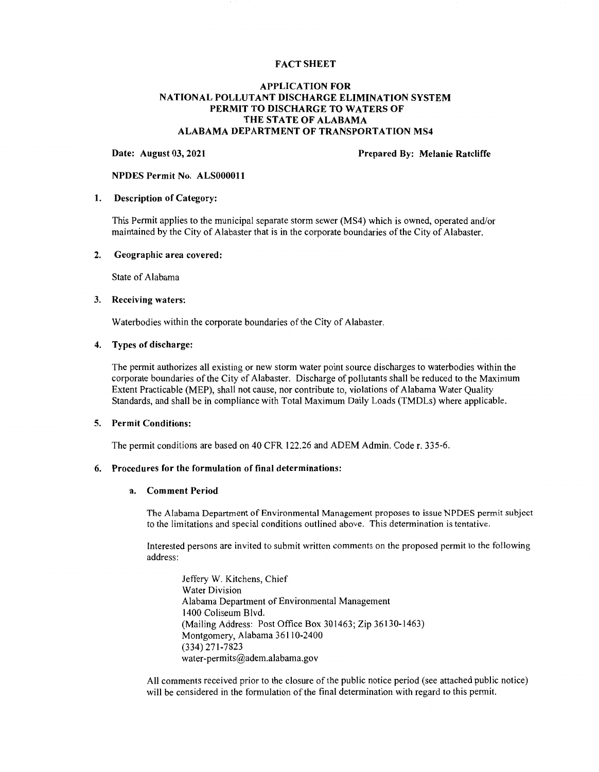#### **FACT SHEET**

#### **APPLICATION FOR NATIONAL POLLUTANT DISCHARGE ELIMINATION SYSTEM PERMIT TO DISCHARGE TO WATERS OF THE STATE OF ALABAMA ALABAMA DEPARTMENT OF TRANSPORTATION MS4**

#### **Date: August 03, 2021 Prepared By: Melanie Ratcliffe**

#### **NPDES Permit No. ALS0000ll**

#### **1. Description of Category:**

This Permit applies to the municipal separate storm sewer (MS4) which is owned, operated and/or maintained by the City of Alabaster that is in the corporate boundaries of the City of Alabaster.

#### **2. Geographic area covered:**

State of Alabama

#### **3. Receiving waters:**

Waterbodies within the corporate boundaries of the City of Alabaster.

#### **4. Types of discharge:**

The permit authorizes all existing or new storm water point source discharges to waterbodies within the corporate boundaries of the City of Alabaster. Discharge of pollutants shall be reduced to the Maximum Extent Practicable (MEP), shall not cause, nor contribute to, violations of Alabama Water Quality Standards, and shall be in compliance with Total Maximum Daily Loads (TMDLs) where applicable.

#### **5. Permit Conditions:**

The permit conditions are based on 40 CFR 122.26 and ADEM Admin. Coder. 335-6.

#### **6. Procedures for the formulation of final determinations:**

#### **a. Comment Period**

The Alabama Department of Environmental Management proposes to issue NPDES permit subject to the limitations and special conditions outlined above. This determination is tentative.

Interested persons are invited to submit written comments on the proposed permit to the following address:

Jeffery W. Kitchens, Chief Water Division Alabama Department of Environmental Management 1400 Coliseum Blvd. (Mailing Address: Post Office Box 301463; Zip 36130-1463) Montgomery, Alabama 36110-2400 (334) 271-7823 water-permits@adem.alabama.gov

All comments received prior to the closure of the public notice period (see attached public notice) will be considered in the formulation of the final determination with regard to this permit.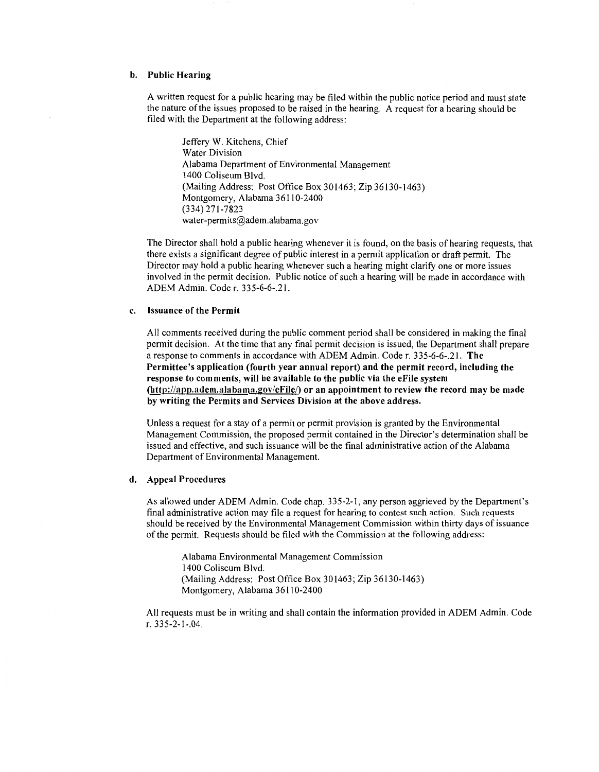#### **b. Public Hearing**

A written request for a public hearing may be filed within the public notice period and must state the nature of the issues proposed to be raised in the hearing. A request for a hearing should be filed with the Department at the following address:

Jeffery W. Kitchens, Chief Water Division Alabama Department of Environmental Management 1400 Coliseum Blvd. (Mailing Address: Post Office Box 301463; Zip 36130-1463) Montgomery, Alabama 36110-2400 (334) 271-7823 water-permits@adem.alabama.gov

The Director shall hold a public hearing whenever it is found, on the basis of hearing requests, that there exists a significant degree of public interest in a permit application or draft permit. The Director may hold a public hearing whenever such a hearing might clarify one or more issues involved in the permit decision. Public notice of such a hearing will be made in accordance with ADEM Admin. Coder. 335-6-6-.21.

#### **c. Issuance of the Permit**

All comments received during the public comment period shall be considered in making the final permit decision. At the time that any final permit decision is issued, the Department shall prepare a response to comments in accordance with ADEM Admin. Coder. 335-6-6-.21. **The Permittee's application (fourth year annual report) and the permit record, including the response to comments, will be available to the public via the eFile system**  (http://app.adem.alabama.gov/eFile/) or an appointment to review the record may be made **by writing the Permits and Services Division at the above address.** 

Unless a request for a stay of a permit or permit provision is granted by the Environmental Management Commission, the proposed permit contained in the Director's determination shall be issued and effective, and such issuance will be the final administrative action of the Alabama Department of Environmental Management.

#### **d. Appeal Procedures**

As allowed under ADEM Admin. Code chap. 335-2-1, any person aggrieved by the Department's final administrative action may file a request for hearing to contest such action. Such requests should be received by the Environmental Management Commission within thirty days of issuance of the permit. Requests should be filed with the Commission at the following address:

Alabama Environmental Management Commission 1400 Coliseum Blvd. (Mailing Address: Post Office Box 301463; Zip 36130-1463) Montgomery, Alabama 36110-2400

All requests must be in writing and shall contain the information provided in ADEM Admin. Code r. 335-2-1-.04.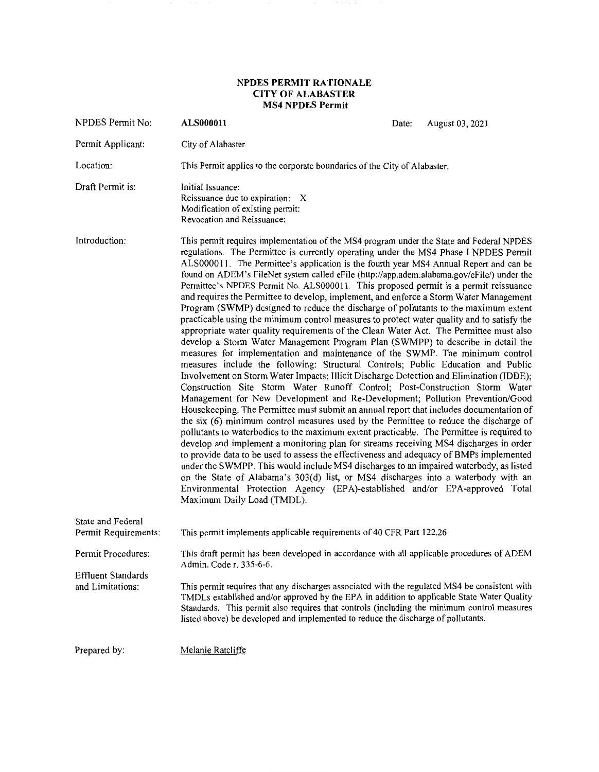#### **NPDES PERMIT RATIONALE CITY OF ALABASTER MS4 NPDES Permit**

| NPDES Permit No:                                                    | ALS000011                                                                                                                                                                                                                                                                                                                                                                                                                                                                                                                                                                                                                                                                                                                                                                                                                                                                                                                                                                                                                                                                                                                                                                                                                                                                                                                                                                                                                                                                                                                                                                                                                                                                                                                                                                                                                                                                                                                                                                                                                                                                                                                  | Date:                                                                                                                                                                                                                                                                                                                                                                                  | August 03, 2021 |  |  |  |
|---------------------------------------------------------------------|----------------------------------------------------------------------------------------------------------------------------------------------------------------------------------------------------------------------------------------------------------------------------------------------------------------------------------------------------------------------------------------------------------------------------------------------------------------------------------------------------------------------------------------------------------------------------------------------------------------------------------------------------------------------------------------------------------------------------------------------------------------------------------------------------------------------------------------------------------------------------------------------------------------------------------------------------------------------------------------------------------------------------------------------------------------------------------------------------------------------------------------------------------------------------------------------------------------------------------------------------------------------------------------------------------------------------------------------------------------------------------------------------------------------------------------------------------------------------------------------------------------------------------------------------------------------------------------------------------------------------------------------------------------------------------------------------------------------------------------------------------------------------------------------------------------------------------------------------------------------------------------------------------------------------------------------------------------------------------------------------------------------------------------------------------------------------------------------------------------------------|----------------------------------------------------------------------------------------------------------------------------------------------------------------------------------------------------------------------------------------------------------------------------------------------------------------------------------------------------------------------------------------|-----------------|--|--|--|
| Permit Applicant:                                                   | City of Alabaster                                                                                                                                                                                                                                                                                                                                                                                                                                                                                                                                                                                                                                                                                                                                                                                                                                                                                                                                                                                                                                                                                                                                                                                                                                                                                                                                                                                                                                                                                                                                                                                                                                                                                                                                                                                                                                                                                                                                                                                                                                                                                                          |                                                                                                                                                                                                                                                                                                                                                                                        |                 |  |  |  |
| Location:                                                           | This Permit applies to the corporate boundaries of the City of Alabaster.                                                                                                                                                                                                                                                                                                                                                                                                                                                                                                                                                                                                                                                                                                                                                                                                                                                                                                                                                                                                                                                                                                                                                                                                                                                                                                                                                                                                                                                                                                                                                                                                                                                                                                                                                                                                                                                                                                                                                                                                                                                  |                                                                                                                                                                                                                                                                                                                                                                                        |                 |  |  |  |
| Draft Permit is:                                                    | Initial Issuance:<br>Reissuance due to expiration: X<br>Modification of existing permit:<br>Revocation and Reissuance:                                                                                                                                                                                                                                                                                                                                                                                                                                                                                                                                                                                                                                                                                                                                                                                                                                                                                                                                                                                                                                                                                                                                                                                                                                                                                                                                                                                                                                                                                                                                                                                                                                                                                                                                                                                                                                                                                                                                                                                                     |                                                                                                                                                                                                                                                                                                                                                                                        |                 |  |  |  |
| Introduction:                                                       | This permit requires implementation of the MS4 program under the State and Federal NPDES<br>regulations. The Permittee is currently operating under the MS4 Phase I NPDES Permit<br>ALS000011. The Permittee's application is the fourth year MS4 Annual Report and can be<br>found on ADEM's FileNet system called eFile (http://app.adem.alabama.gov/eFile/) under the<br>Permittee's NPDES Permit No. ALS000011. This proposed permit is a permit reissuance<br>and requires the Permittee to develop, implement, and enforce a Storm Water Management<br>Program (SWMP) designed to reduce the discharge of pollutants to the maximum extent<br>practicable using the minimum control measures to protect water quality and to satisfy the<br>appropriate water quality requirements of the Clean Water Act. The Permittee must also<br>develop a Storm Water Management Program Plan (SWMPP) to describe in detail the<br>measures for implementation and maintenance of the SWMP. The minimum control<br>measures include the following: Structural Controls; Public Education and Public<br>Involvement on Storm Water Impacts; Illicit Discharge Detection and Elimination (IDDE);<br>Construction Site Storm Water Runoff Control; Post-Construction Storm Water<br>Management for New Development and Re-Development; Pollution Prevention/Good<br>Housekeeping. The Permittee must submit an annual report that includes documentation of<br>the six (6) minimum control measures used by the Permittee to reduce the discharge of<br>pollutants to waterbodies to the maximum extent practicable. The Permittee is required to<br>develop and implement a monitoring plan for streams receiving MS4 discharges in order<br>to provide data to be used to assess the effectiveness and adequacy of BMPs implemented<br>under the SWMPP. This would include MS4 discharges to an impaired waterbody, as listed<br>on the State of Alabama's 303(d) list, or MS4 discharges into a waterbody with an<br>Environmental Protection Agency (EPA)-established and/or EPA-approved Total<br>Maximum Daily Load (TMDL). |                                                                                                                                                                                                                                                                                                                                                                                        |                 |  |  |  |
| State and Federal<br>Permit Requirements:                           | This permit implements applicable requirements of 40 CFR Part 122.26                                                                                                                                                                                                                                                                                                                                                                                                                                                                                                                                                                                                                                                                                                                                                                                                                                                                                                                                                                                                                                                                                                                                                                                                                                                                                                                                                                                                                                                                                                                                                                                                                                                                                                                                                                                                                                                                                                                                                                                                                                                       |                                                                                                                                                                                                                                                                                                                                                                                        |                 |  |  |  |
| Permit Procedures:<br><b>Effluent Standards</b><br>and Limitations: | Admin. Code r. 335-6-6.<br>listed above) be developed and implemented to reduce the discharge of pollutants.                                                                                                                                                                                                                                                                                                                                                                                                                                                                                                                                                                                                                                                                                                                                                                                                                                                                                                                                                                                                                                                                                                                                                                                                                                                                                                                                                                                                                                                                                                                                                                                                                                                                                                                                                                                                                                                                                                                                                                                                               | This draft permit has been developed in accordance with all applicable procedures of ADEM<br>This permit requires that any discharges associated with the regulated MS4 be consistent with<br>TMDLs established and/or approved by the EPA in addition to applicable State Water Quality<br>Standards. This permit also requires that controls (including the minimum control measures |                 |  |  |  |
| Prepared by:                                                        | Melanie Ratcliffe                                                                                                                                                                                                                                                                                                                                                                                                                                                                                                                                                                                                                                                                                                                                                                                                                                                                                                                                                                                                                                                                                                                                                                                                                                                                                                                                                                                                                                                                                                                                                                                                                                                                                                                                                                                                                                                                                                                                                                                                                                                                                                          |                                                                                                                                                                                                                                                                                                                                                                                        |                 |  |  |  |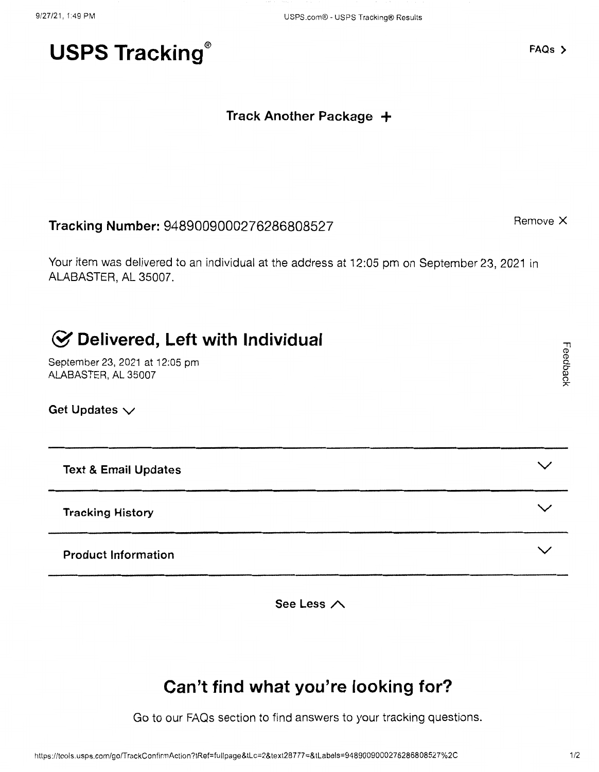# USPS Tracking<sup>®</sup> FAQs >

### **Track Another Package** +

# **Tracking Number:** 9489009000276286808527 **Remove X** Remove X

Your item was delivered to an individual at the address at 12:05 pm on September 23, 2021 in ALABASTER, AL 35007.

# & **Delivered, Left with Individual**

September 23, 2021 at 12:05 pm ALABASTER,AL35007

Get Updates  $\vee$ 

**Text & Email Updates** 

**Tracking History** 

**Product Information** 

**See Less A** 

# **Can't find what you're looking for?**

Go to our FAQs section to find answers to your tracking questions.

 $\checkmark$ 

**V** 

 $\checkmark$